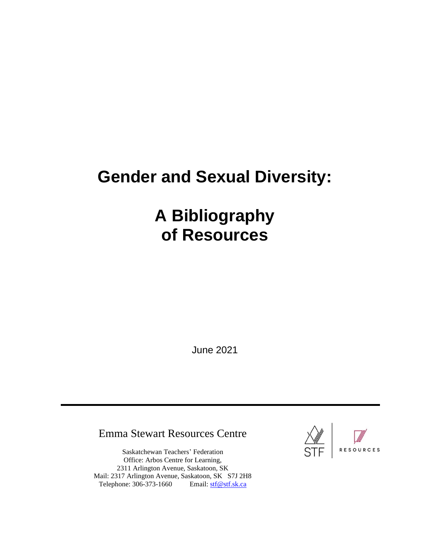# **Gender and Sexual Diversity:**

# **A Bibliography of Resources**

June 2021

# Emma Stewart Resources Centre

Saskatchewan Teachers' Federation Office: Arbos Centre for Learning, 2311 Arlington Avenue, Saskatoon, SK Mail: 2317 Arlington Avenue, Saskatoon, SK S7J 2H8 Telephone: 306-373-1660 Email: [stf@stf.sk.ca](mailto:stf@stf.sk.ca)

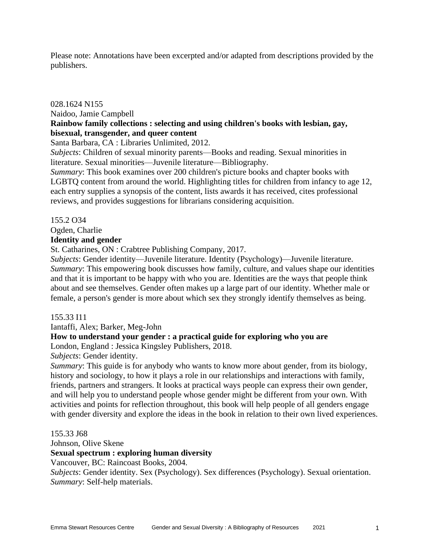Please note: Annotations have been excerpted and/or adapted from descriptions provided by the publishers.

# 028.1624 N155 Naidoo, Jamie Campbell **Rainbow family collections : selecting and using children's books with lesbian, gay, bisexual, transgender, and queer content**

Santa Barbara, CA : Libraries Unlimited, 2012.

*Subjects*: Children of sexual minority parents—Books and reading. Sexual minorities in literature. Sexual minorities—Juvenile literature—Bibliography.

*Summary*: This book examines over 200 children's picture books and chapter books with LGBTQ content from around the world. Highlighting titles for children from infancy to age 12, each entry supplies a synopsis of the content, lists awards it has received, cites professional reviews, and provides suggestions for librarians considering acquisition.

# 155.2 O34

Ogden, Charlie

# **Identity and gender**

St. Catharines, ON : Crabtree Publishing Company, 2017.

*Subjects*: Gender identity—Juvenile literature. Identity (Psychology)—Juvenile literature. *Summary*: This empowering book discusses how family, culture, and values shape our identities and that it is important to be happy with who you are. Identities are the ways that people think about and see themselves. Gender often makes up a large part of our identity. Whether male or female, a person's gender is more about which sex they strongly identify themselves as being.

#### 155.33 I11

Iantaffi, Alex; Barker, Meg-John

# **How to understand your gender : a practical guide for exploring who you are**

London, England : Jessica Kingsley Publishers, 2018.

*Subjects*: Gender identity.

*Summary*: This guide is for anybody who wants to know more about gender, from its biology, history and sociology, to how it plays a role in our relationships and interactions with family, friends, partners and strangers. It looks at practical ways people can express their own gender, and will help you to understand people whose gender might be different from your own. With activities and points for reflection throughout, this book will help people of all genders engage with gender diversity and explore the ideas in the book in relation to their own lived experiences.

155.33 J68 Johnson, Olive Skene **Sexual spectrum : exploring human diversity** Vancouver, BC: Raincoast Books, 2004.

*Subjects*: Gender identity. Sex (Psychology). Sex differences (Psychology). Sexual orientation. *Summary*: Self-help materials.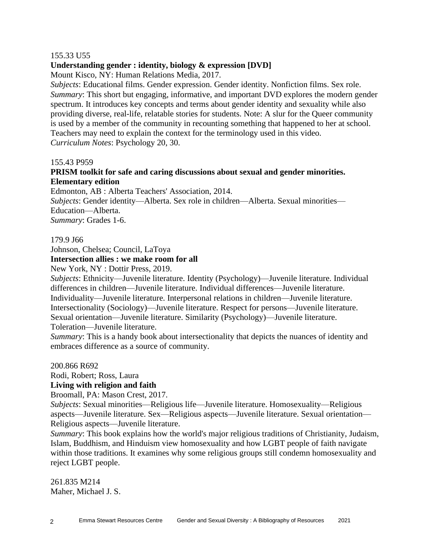# 155.33 U55

# **Understanding gender : identity, biology & expression [DVD]**

Mount Kisco, NY: Human Relations Media, 2017.

*Subjects*: Educational films. Gender expression. Gender identity. Nonfiction films. Sex role. *Summary*: This short but engaging, informative, and important DVD explores the modern gender spectrum. It introduces key concepts and terms about gender identity and sexuality while also providing diverse, real-life, relatable stories for students. Note: A slur for the Queer community is used by a member of the community in recounting something that happened to her at school. Teachers may need to explain the context for the terminology used in this video. *Curriculum Notes*: Psychology 20, 30.

#### 155.43 P959

# **PRISM toolkit for safe and caring discussions about sexual and gender minorities. Elementary edition**

Edmonton, AB : Alberta Teachers' Association, 2014.

*Subjects*: Gender identity—Alberta. Sex role in children—Alberta. Sexual minorities— Education—Alberta.

*Summary*: Grades 1-6.

#### 179.9 J66

Johnson, Chelsea; Council, LaToya

## **Intersection allies : we make room for all**

New York, NY : Dottir Press, 2019.

*Subjects*: Ethnicity—Juvenile literature. Identity (Psychology)—Juvenile literature. Individual differences in children—Juvenile literature. Individual differences—Juvenile literature. Individuality—Juvenile literature. Interpersonal relations in children—Juvenile literature. Intersectionality (Sociology)—Juvenile literature. Respect for persons—Juvenile literature. Sexual orientation—Juvenile literature. Similarity (Psychology)—Juvenile literature. Toleration—Juvenile literature.

*Summary*: This is a handy book about intersectionality that depicts the nuances of identity and embraces difference as a source of community.

200.866 R692

Rodi, Robert; Ross, Laura

# **Living with religion and faith**

Broomall, PA: Mason Crest, 2017.

*Subjects*: Sexual minorities—Religious life—Juvenile literature. Homosexuality—Religious aspects—Juvenile literature. Sex—Religious aspects—Juvenile literature. Sexual orientation— Religious aspects—Juvenile literature.

*Summary*: This book explains how the world's major religious traditions of Christianity, Judaism, Islam, Buddhism, and Hinduism view homosexuality and how LGBT people of faith navigate within those traditions. It examines why some religious groups still condemn homosexuality and reject LGBT people.

261.835 M214 Maher, Michael J. S.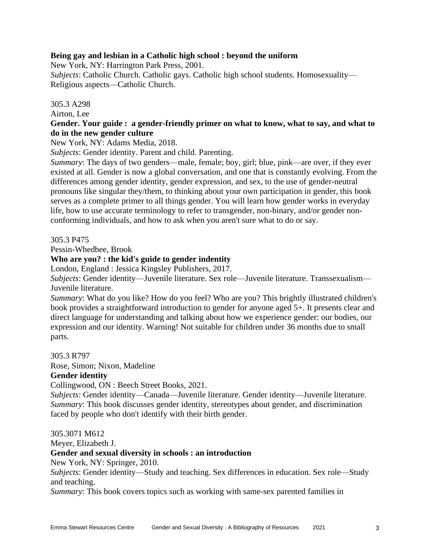# **Being gay and lesbian in a Catholic high school : beyond the uniform**

New York, NY: Harrington Park Press, 2001.

*Subjects*: Catholic Church. Catholic gays. Catholic high school students. Homosexuality— Religious aspects—Catholic Church.

# 305.3 A298

Airton, Lee

# **Gender. Your guide : a gender-friendly primer on what to know, what to say, and what to do in the new gender culture**

New York, NY: Adams Media, 2018.

*Subjects*: Gender identity. Parent and child. Parenting.

*Summary*: The days of two genders—male, female; boy, girl; blue, pink—are over, if they ever existed at all. Gender is now a global conversation, and one that is constantly evolving. From the differences among gender identity, gender expression, and sex, to the use of gender-neutral pronouns like singular they/them, to thinking about your own participation in gender, this book serves as a complete primer to all things gender. You will learn how gender works in everyday life, how to use accurate terminology to refer to transgender, non-binary, and/or gender nonconforming individuals, and how to ask when you aren't sure what to do or say.

# 305.3 P475

Pessin-Whedbee, Brook

# **Who are you? : the kid's guide to gender indentity**

London, England : Jessica Kingsley Publishers, 2017.

*Subjects*: Gender identity—Juvenile literature. Sex role—Juvenile literature. Transsexualism— Juvenile literature.

*Summary*: What do you like? How do you feel? Who are you? This brightly illustrated children's book provides a straightforward introduction to gender for anyone aged 5+. It presents clear and direct language for understanding and talking about how we experience gender: our bodies, our expression and our identity. Warning! Not suitable for children under 36 months due to small parts.

305.3 R797

Rose, Simon; Nixon, Madeline

# **Gender identity**

Collingwood, ON : Beech Street Books, 2021.

*Subjects*: Gender identity—Canada—Juvenile literature. Gender identity—Juvenile literature. *Summary*: This book discusses gender identity, stereotypes about gender, and discrimination faced by people who don't identify with their birth gender.

305.3071 M612

Meyer, Elizabeth J.

# **Gender and sexual diversity in schools : an introduction**

New York, NY: Springer, 2010.

*Subjects*: Gender identity—Study and teaching. Sex differences in education. Sex role—Study and teaching.

*Summary*: This book covers topics such as working with same-sex parented families in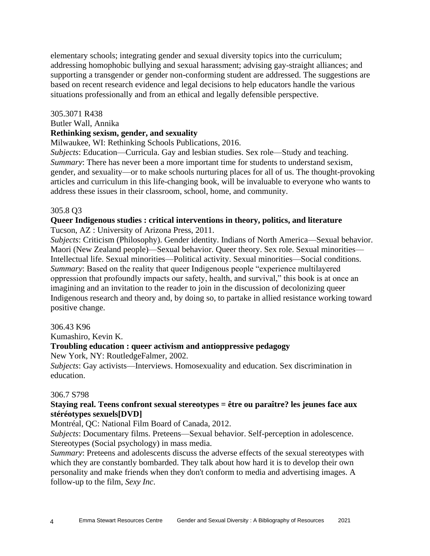elementary schools; integrating gender and sexual diversity topics into the curriculum; addressing homophobic bullying and sexual harassment; advising gay-straight alliances; and supporting a transgender or gender non-conforming student are addressed. The suggestions are based on recent research evidence and legal decisions to help educators handle the various situations professionally and from an ethical and legally defensible perspective.

# 305.3071 R438

# Butler Wall, Annika

# **Rethinking sexism, gender, and sexuality**

Milwaukee, WI: Rethinking Schools Publications, 2016.

*Subjects*: Education—Curricula. Gay and lesbian studies. Sex role—Study and teaching. *Summary*: There has never been a more important time for students to understand sexism, gender, and sexuality—or to make schools nurturing places for all of us. The thought-provoking articles and curriculum in this life-changing book, will be invaluable to everyone who wants to address these issues in their classroom, school, home, and community.

# 305.8 Q3

# **Queer Indigenous studies : critical interventions in theory, politics, and literature** Tucson, AZ : University of Arizona Press, 2011.

*Subjects*: Criticism (Philosophy). Gender identity. Indians of North America—Sexual behavior. Maori (New Zealand people)—Sexual behavior. Queer theory. Sex role. Sexual minorities— Intellectual life. Sexual minorities—Political activity. Sexual minorities—Social conditions. *Summary*: Based on the reality that queer Indigenous people "experience multilayered oppression that profoundly impacts our safety, health, and survival," this book is at once an imagining and an invitation to the reader to join in the discussion of decolonizing queer Indigenous research and theory and, by doing so, to partake in allied resistance working toward positive change.

# 306.43 K96

Kumashiro, Kevin K.

# **Troubling education : queer activism and antioppressive pedagogy**

New York, NY: RoutledgeFalmer, 2002.

*Subjects*: Gay activists—Interviews. Homosexuality and education. Sex discrimination in education.

# 306.7 S798

# **Staying real. Teens confront sexual stereotypes = être ou paraître? les jeunes face aux stéréotypes sexuels[DVD]**

Montréal, QC: National Film Board of Canada, 2012.

*Subjects*: Documentary films. Preteens—Sexual behavior. Self-perception in adolescence. Stereotypes (Social psychology) in mass media.

*Summary*: Preteens and adolescents discuss the adverse effects of the sexual stereotypes with which they are constantly bombarded. They talk about how hard it is to develop their own personality and make friends when they don't conform to media and advertising images. A follow-up to the film, *Sexy Inc*.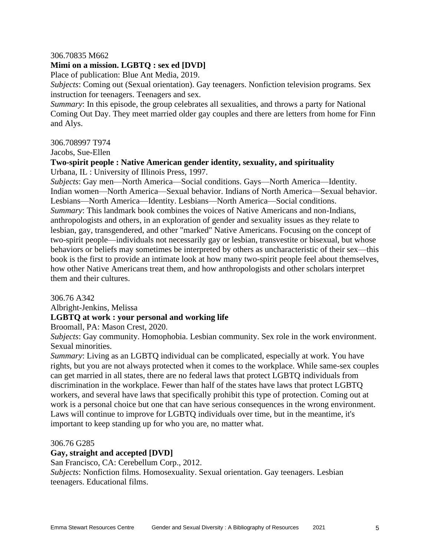#### 306.70835 M662

# **Mimi on a mission. LGBTQ : sex ed [DVD]**

Place of publication: Blue Ant Media, 2019.

*Subjects*: Coming out (Sexual orientation). Gay teenagers. Nonfiction television programs. Sex instruction for teenagers. Teenagers and sex.

*Summary*: In this episode, the group celebrates all sexualities, and throws a party for National Coming Out Day. They meet married older gay couples and there are letters from home for Finn and Alys.

#### 306.708997 T974

Jacobs, Sue-Ellen

#### **Two-spirit people : Native American gender identity, sexuality, and spirituality** Urbana, IL : University of Illinois Press, 1997.

*Subjects*: Gay men—North America—Social conditions. Gays—North America—Identity. Indian women—North America—Sexual behavior. Indians of North America—Sexual behavior. Lesbians—North America—Identity. Lesbians—North America—Social conditions. *Summary*: This landmark book combines the voices of Native Americans and non-Indians, anthropologists and others, in an exploration of gender and sexuality issues as they relate to lesbian, gay, transgendered, and other "marked" Native Americans. Focusing on the concept of two-spirit people—individuals not necessarily gay or lesbian, transvestite or bisexual, but whose behaviors or beliefs may sometimes be interpreted by others as uncharacteristic of their sex—this book is the first to provide an intimate look at how many two-spirit people feel about themselves, how other Native Americans treat them, and how anthropologists and other scholars interpret them and their cultures.

306.76 A342

Albright-Jenkins, Melissa

# **LGBTQ at work : your personal and working life**

Broomall, PA: Mason Crest, 2020.

*Subjects*: Gay community. Homophobia. Lesbian community. Sex role in the work environment. Sexual minorities.

*Summary*: Living as an LGBTQ individual can be complicated, especially at work. You have rights, but you are not always protected when it comes to the workplace. While same-sex couples can get married in all states, there are no federal laws that protect LGBTQ individuals from discrimination in the workplace. Fewer than half of the states have laws that protect LGBTQ workers, and several have laws that specifically prohibit this type of protection. Coming out at work is a personal choice but one that can have serious consequences in the wrong environment. Laws will continue to improve for LGBTQ individuals over time, but in the meantime, it's important to keep standing up for who you are, no matter what.

#### 306.76 G285

# **Gay, straight and accepted [DVD]**

San Francisco, CA: Cerebellum Corp., 2012.

*Subjects*: Nonfiction films. Homosexuality. Sexual orientation. Gay teenagers. Lesbian teenagers. Educational films.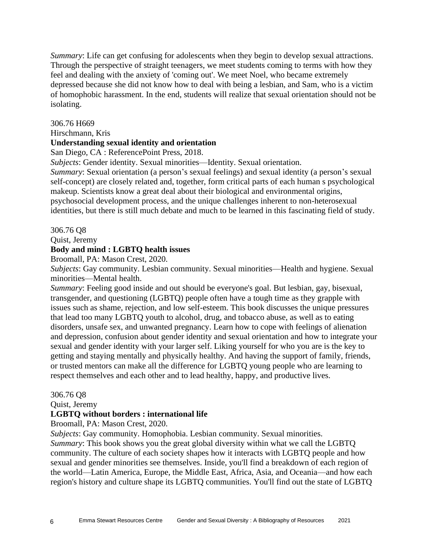*Summary*: Life can get confusing for adolescents when they begin to develop sexual attractions. Through the perspective of straight teenagers, we meet students coming to terms with how they feel and dealing with the anxiety of 'coming out'. We meet Noel, who became extremely depressed because she did not know how to deal with being a lesbian, and Sam, who is a victim of homophobic harassment. In the end, students will realize that sexual orientation should not be isolating.

# 306.76 H669

Hirschmann, Kris

# **Understanding sexual identity and orientation**

San Diego, CA : ReferencePoint Press, 2018.

*Subjects*: Gender identity. Sexual minorities—Identity. Sexual orientation.

*Summary*: Sexual orientation (a person's sexual feelings) and sexual identity (a person's sexual self-concept) are closely related and, together, form critical parts of each human s psychological makeup. Scientists know a great deal about their biological and environmental origins, psychosocial development process, and the unique challenges inherent to non-heterosexual identities, but there is still much debate and much to be learned in this fascinating field of study.

306.76 Q8

Quist, Jeremy

# **Body and mind : LGBTQ health issues**

Broomall, PA: Mason Crest, 2020.

*Subjects*: Gay community. Lesbian community. Sexual minorities—Health and hygiene. Sexual minorities—Mental health.

*Summary*: Feeling good inside and out should be everyone's goal. But lesbian, gay, bisexual, transgender, and questioning (LGBTQ) people often have a tough time as they grapple with issues such as shame, rejection, and low self-esteem. This book discusses the unique pressures that lead too many LGBTQ youth to alcohol, drug, and tobacco abuse, as well as to eating disorders, unsafe sex, and unwanted pregnancy. Learn how to cope with feelings of alienation and depression, confusion about gender identity and sexual orientation and how to integrate your sexual and gender identity with your larger self. Liking yourself for who you are is the key to getting and staying mentally and physically healthy. And having the support of family, friends, or trusted mentors can make all the difference for LGBTQ young people who are learning to respect themselves and each other and to lead healthy, happy, and productive lives.

# 306.76 Q8

Quist, Jeremy

# **LGBTQ without borders : international life**

Broomall, PA: Mason Crest, 2020.

*Subjects*: Gay community. Homophobia. Lesbian community. Sexual minorities. *Summary*: This book shows you the great global diversity within what we call the LGBTQ community. The culture of each society shapes how it interacts with LGBTQ people and how sexual and gender minorities see themselves. Inside, you'll find a breakdown of each region of the world—Latin America, Europe, the Middle East, Africa, Asia, and Oceania—and how each region's history and culture shape its LGBTQ communities. You'll find out the state of LGBTQ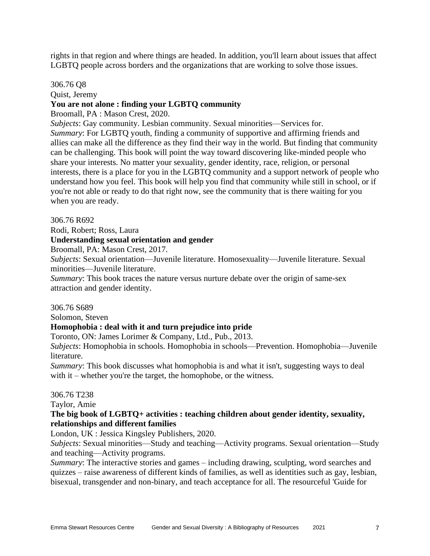rights in that region and where things are headed. In addition, you'll learn about issues that affect LGBTQ people across borders and the organizations that are working to solve those issues.

#### 306.76 Q8

Quist, Jeremy

# **You are not alone : finding your LGBTQ community**

Broomall, PA : Mason Crest, 2020.

*Subjects*: Gay community. Lesbian community. Sexual minorities—Services for. *Summary*: For LGBTQ youth, finding a community of supportive and affirming friends and allies can make all the difference as they find their way in the world. But finding that community can be challenging. This book will point the way toward discovering like-minded people who share your interests. No matter your sexuality, gender identity, race, religion, or personal interests, there is a place for you in the LGBTQ community and a support network of people who understand how you feel. This book will help you find that community while still in school, or if you're not able or ready to do that right now, see the community that is there waiting for you when you are ready.

306.76 R692

Rodi, Robert; Ross, Laura

#### **Understanding sexual orientation and gender**

Broomall, PA: Mason Crest, 2017.

*Subjects*: Sexual orientation—Juvenile literature. Homosexuality—Juvenile literature. Sexual minorities—Juvenile literature.

*Summary*: This book traces the nature versus nurture debate over the origin of same-sex attraction and gender identity.

306.76 S689

Solomon, Steven

#### **Homophobia : deal with it and turn prejudice into pride**

Toronto, ON: James Lorimer & Company, Ltd., Pub., 2013.

*Subjects*: Homophobia in schools. Homophobia in schools—Prevention. Homophobia—Juvenile literature.

*Summary*: This book discusses what homophobia is and what it isn't, suggesting ways to deal with it – whether you're the target, the homophobe, or the witness.

#### 306.76 T238

Taylor, Amie

#### **The big book of LGBTQ+ activities : teaching children about gender identity, sexuality, relationships and different families**

London, UK : Jessica Kingsley Publishers, 2020.

*Subjects*: Sexual minorities—Study and teaching—Activity programs. Sexual orientation—Study and teaching—Activity programs.

*Summary*: The interactive stories and games – including drawing, sculpting, word searches and quizzes – raise awareness of different kinds of families, as well as identities such as gay, lesbian, bisexual, transgender and non-binary, and teach acceptance for all. The resourceful 'Guide for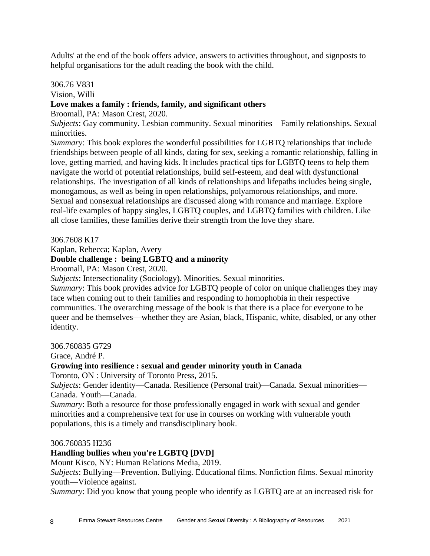Adults' at the end of the book offers advice, answers to activities throughout, and signposts to helpful organisations for the adult reading the book with the child.

# 306.76 V831

Vision, Willi

# **Love makes a family : friends, family, and significant others**

Broomall, PA: Mason Crest, 2020.

*Subjects*: Gay community. Lesbian community. Sexual minorities—Family relationships. Sexual minorities.

*Summary*: This book explores the wonderful possibilities for LGBTQ relationships that include friendships between people of all kinds, dating for sex, seeking a romantic relationship, falling in love, getting married, and having kids. It includes practical tips for LGBTQ teens to help them navigate the world of potential relationships, build self-esteem, and deal with dysfunctional relationships. The investigation of all kinds of relationships and lifepaths includes being single, monogamous, as well as being in open relationships, polyamorous relationships, and more. Sexual and nonsexual relationships are discussed along with romance and marriage. Explore real-life examples of happy singles, LGBTQ couples, and LGBTQ families with children. Like all close families, these families derive their strength from the love they share.

306.7608 K17

Kaplan, Rebecca; Kaplan, Avery

# **Double challenge : being LGBTQ and a minority**

Broomall, PA: Mason Crest, 2020.

*Subjects*: Intersectionality (Sociology). Minorities. Sexual minorities.

*Summary*: This book provides advice for LGBTQ people of color on unique challenges they may face when coming out to their families and responding to homophobia in their respective communities. The overarching message of the book is that there is a place for everyone to be queer and be themselves—whether they are Asian, black, Hispanic, white, disabled, or any other identity.

306.760835 G729

Grace, André P.

# **Growing into resilience : sexual and gender minority youth in Canada**

Toronto, ON : University of Toronto Press, 2015.

*Subjects*: Gender identity—Canada. Resilience (Personal trait)—Canada. Sexual minorities— Canada. Youth—Canada.

*Summary*: Both a resource for those professionally engaged in work with sexual and gender minorities and a comprehensive text for use in courses on working with vulnerable youth populations, this is a timely and transdisciplinary book.

306.760835 H236

# **Handling bullies when you're LGBTQ [DVD]**

Mount Kisco, NY: Human Relations Media, 2019.

*Subjects*: Bullying—Prevention. Bullying. Educational films. Nonfiction films. Sexual minority youth—Violence against.

*Summary*: Did you know that young people who identify as LGBTQ are at an increased risk for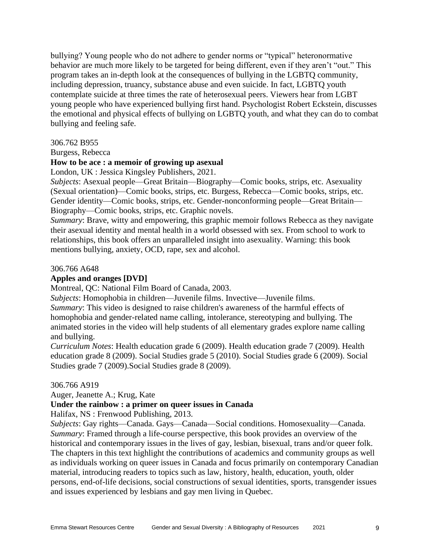bullying? Young people who do not adhere to gender norms or "typical" heteronormative behavior are much more likely to be targeted for being different, even if they aren't "out." This program takes an in-depth look at the consequences of bullying in the LGBTQ community, including depression, truancy, substance abuse and even suicide. In fact, LGBTQ youth contemplate suicide at three times the rate of heterosexual peers. Viewers hear from LGBT young people who have experienced bullying first hand. Psychologist Robert Eckstein, discusses the emotional and physical effects of bullying on LGBTQ youth, and what they can do to combat bullying and feeling safe.

#### 306.762 B955

Burgess, Rebecca

# **How to be ace : a memoir of growing up asexual**

London, UK : Jessica Kingsley Publishers, 2021.

*Subjects*: Asexual people—Great Britain—Biography—Comic books, strips, etc. Asexuality (Sexual orientation)—Comic books, strips, etc. Burgess, Rebecca—Comic books, strips, etc. Gender identity—Comic books, strips, etc. Gender-nonconforming people—Great Britain— Biography—Comic books, strips, etc. Graphic novels.

*Summary*: Brave, witty and empowering, this graphic memoir follows Rebecca as they navigate their asexual identity and mental health in a world obsessed with sex. From school to work to relationships, this book offers an unparalleled insight into asexuality. Warning: this book mentions bullying, anxiety, OCD, rape, sex and alcohol.

#### 306.766 A648

#### **Apples and oranges [DVD]**

Montreal, QC: National Film Board of Canada, 2003.

*Subjects*: Homophobia in children—Juvenile films. Invective—Juvenile films.

*Summary*: This video is designed to raise children's awareness of the harmful effects of homophobia and gender-related name calling, intolerance, stereotyping and bullying. The animated stories in the video will help students of all elementary grades explore name calling and bullying.

*Curriculum Notes*: Health education grade 6 (2009). Health education grade 7 (2009). Health education grade 8 (2009). Social Studies grade 5 (2010). Social Studies grade 6 (2009). Social Studies grade 7 (2009).Social Studies grade 8 (2009).

#### 306.766 A919

Auger, Jeanette A.; Krug, Kate

#### **Under the rainbow : a primer on queer issues in Canada**

Halifax, NS : Frenwood Publishing, 2013.

*Subjects*: Gay rights—Canada. Gays—Canada—Social conditions. Homosexuality—Canada. *Summary*: Framed through a life-course perspective, this book provides an overview of the historical and contemporary issues in the lives of gay, lesbian, bisexual, trans and/or queer folk. The chapters in this text highlight the contributions of academics and community groups as well as individuals working on queer issues in Canada and focus primarily on contemporary Canadian material, introducing readers to topics such as law, history, health, education, youth, older persons, end-of-life decisions, social constructions of sexual identities, sports, transgender issues and issues experienced by lesbians and gay men living in Quebec.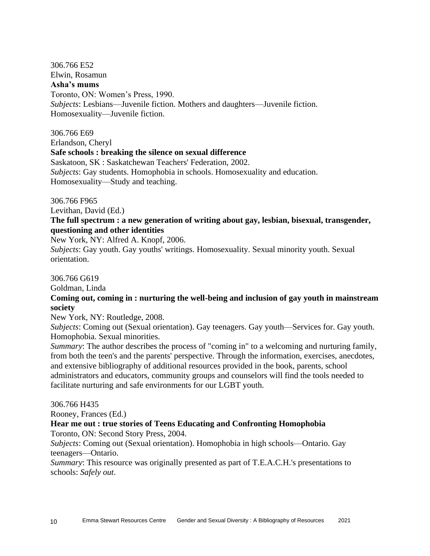306.766 E52 Elwin, Rosamun **Asha's mums** Toronto, ON: Women's Press, 1990. *Subjects*: Lesbians—Juvenile fiction. Mothers and daughters—Juvenile fiction. Homosexuality—Juvenile fiction.

306.766 E69 Erlandson, Cheryl **Safe schools : breaking the silence on sexual difference** Saskatoon, SK : Saskatchewan Teachers' Federation, 2002. *Subjects*: Gay students. Homophobia in schools. Homosexuality and education. Homosexuality—Study and teaching.

306.766 F965

Levithan, David (Ed.)

# **The full spectrum : a new generation of writing about gay, lesbian, bisexual, transgender, questioning and other identities**

New York, NY: Alfred A. Knopf, 2006.

*Subjects*: Gay youth. Gay youths' writings. Homosexuality. Sexual minority youth. Sexual orientation.

306.766 G619

Goldman, Linda

# **Coming out, coming in : nurturing the well-being and inclusion of gay youth in mainstream society**

New York, NY: Routledge, 2008.

*Subjects*: Coming out (Sexual orientation). Gay teenagers. Gay youth—Services for. Gay youth. Homophobia. Sexual minorities.

*Summary*: The author describes the process of "coming in" to a welcoming and nurturing family, from both the teen's and the parents' perspective. Through the information, exercises, anecdotes, and extensive bibliography of additional resources provided in the book, parents, school administrators and educators, community groups and counselors will find the tools needed to facilitate nurturing and safe environments for our LGBT youth.

306.766 H435

Rooney, Frances (Ed.)

# **Hear me out : true stories of Teens Educating and Confronting Homophobia**

Toronto, ON: Second Story Press, 2004.

*Subjects*: Coming out (Sexual orientation). Homophobia in high schools—Ontario. Gay teenagers—Ontario.

*Summary*: This resource was originally presented as part of T.E.A.C.H.'s presentations to schools: *Safely out*.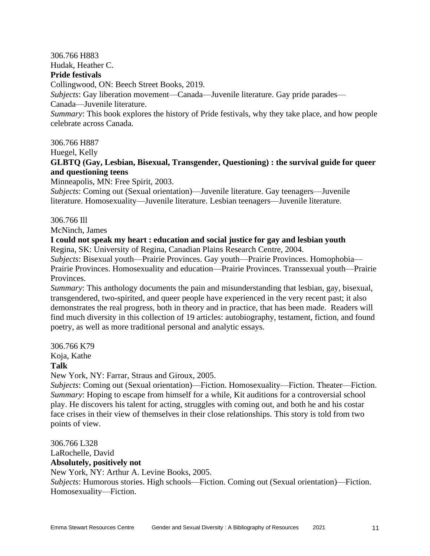# 306.766 H883 Hudak, Heather C.

#### **Pride festivals**

Collingwood, ON: Beech Street Books, 2019.

*Subjects*: Gay liberation movement—Canada—Juvenile literature. Gay pride parades—

Canada—Juvenile literature.

*Summary*: This book explores the history of Pride festivals, why they take place, and how people celebrate across Canada.

306.766 H887

Huegel, Kelly

# **GLBTQ (Gay, Lesbian, Bisexual, Transgender, Questioning) : the survival guide for queer and questioning teens**

Minneapolis, MN: Free Spirit, 2003.

*Subjects*: Coming out (Sexual orientation)—Juvenile literature. Gay teenagers—Juvenile literature. Homosexuality—Juvenile literature. Lesbian teenagers—Juvenile literature.

# 306.766 Ill

McNinch, James

# **I could not speak my heart : education and social justice for gay and lesbian youth**

Regina, SK: University of Regina, Canadian Plains Research Centre, 2004.

*Subjects*: Bisexual youth—Prairie Provinces. Gay youth—Prairie Provinces. Homophobia— Prairie Provinces. Homosexuality and education—Prairie Provinces. Transsexual youth—Prairie Provinces.

*Summary*: This anthology documents the pain and misunderstanding that lesbian, gay, bisexual, transgendered, two-spirited, and queer people have experienced in the very recent past; it also demonstrates the real progress, both in theory and in practice, that has been made. Readers will find much diversity in this collection of 19 articles: autobiography, testament, fiction, and found poetry, as well as more traditional personal and analytic essays.

306.766 K79

Koja, Kathe

# **Talk**

New York, NY: Farrar, Straus and Giroux, 2005.

*Subjects*: Coming out (Sexual orientation)—Fiction. Homosexuality—Fiction. Theater—Fiction. *Summary*: Hoping to escape from himself for a while, Kit auditions for a controversial school play. He discovers his talent for acting, struggles with coming out, and both he and his costar face crises in their view of themselves in their close relationships. This story is told from two points of view.

306.766 L328 LaRochelle, David **Absolutely, positively not** New York, NY: Arthur A. Levine Books, 2005. *Subjects*: Humorous stories. High schools—Fiction. Coming out (Sexual orientation)—Fiction. Homosexuality—Fiction.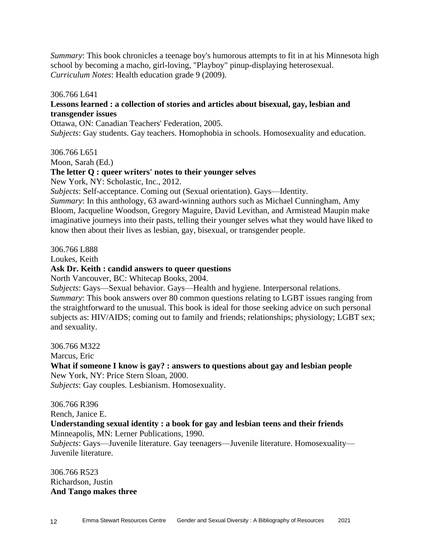*Summary*: This book chronicles a teenage boy's humorous attempts to fit in at his Minnesota high school by becoming a macho, girl-loving, "Playboy" pinup-displaying heterosexual. *Curriculum Notes*: Health education grade 9 (2009).

306.766 L641

# **Lessons learned : a collection of stories and articles about bisexual, gay, lesbian and transgender issues**

Ottawa, ON: Canadian Teachers' Federation, 2005. *Subjects*: Gay students. Gay teachers. Homophobia in schools. Homosexuality and education.

306.766 L651

Moon, Sarah (Ed.)

#### **The letter Q : queer writers' notes to their younger selves**

New York, NY: Scholastic, Inc., 2012.

*Subjects*: Self-acceptance. Coming out (Sexual orientation). Gays—Identity.

*Summary*: In this anthology, 63 award-winning authors such as Michael Cunningham, Amy Bloom, Jacqueline Woodson, Gregory Maguire, David Levithan, and Armistead Maupin make imaginative journeys into their pasts, telling their younger selves what they would have liked to know then about their lives as lesbian, gay, bisexual, or transgender people.

306.766 L888

Loukes, Keith

# **Ask Dr. Keith : candid answers to queer questions**

North Vancouver, BC: Whitecap Books, 2004.

*Subjects*: Gays—Sexual behavior. Gays—Health and hygiene. Interpersonal relations. *Summary*: This book answers over 80 common questions relating to LGBT issues ranging from the straightforward to the unusual. This book is ideal for those seeking advice on such personal subjects as: HIV/AIDS; coming out to family and friends; relationships; physiology; LGBT sex; and sexuality.

306.766 M322

Marcus, Eric

**What if someone I know is gay? : answers to questions about gay and lesbian people** New York, NY: Price Stern Sloan, 2000.

*Subjects*: Gay couples. Lesbianism. Homosexuality.

306.766 R396

Rench, Janice E.

# **Understanding sexual identity : a book for gay and lesbian teens and their friends** Minneapolis, MN: Lerner Publications, 1990.

*Subjects*: Gays—Juvenile literature. Gay teenagers—Juvenile literature. Homosexuality— Juvenile literature.

306.766 R523 Richardson, Justin **And Tango makes three**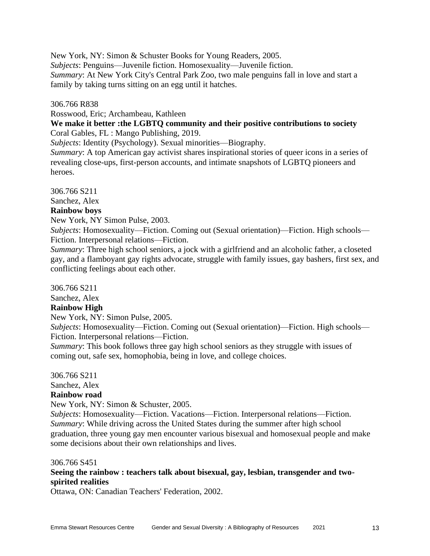New York, NY: Simon & Schuster Books for Young Readers, 2005. *Subjects*: Penguins—Juvenile fiction. Homosexuality—Juvenile fiction. *Summary*: At New York City's Central Park Zoo, two male penguins fall in love and start a family by taking turns sitting on an egg until it hatches.

# 306.766 R838

Rosswood, Eric; Archambeau, Kathleen

# **We make it better :the LGBTQ community and their positive contributions to society** Coral Gables, FL : Mango Publishing, 2019.

*Subjects*: Identity (Psychology). Sexual minorities—Biography.

*Summary*: A top American gay activist shares inspirational stories of queer icons in a series of revealing close-ups, first-person accounts, and intimate snapshots of LGBTQ pioneers and heroes.

306.766 S211

Sanchez, Alex

# **Rainbow boys**

New York, NY Simon Pulse, 2003.

*Subjects*: Homosexuality—Fiction. Coming out (Sexual orientation)—Fiction. High schools— Fiction. Interpersonal relations—Fiction.

*Summary*: Three high school seniors, a jock with a girlfriend and an alcoholic father, a closeted gay, and a flamboyant gay rights advocate, struggle with family issues, gay bashers, first sex, and conflicting feelings about each other.

306.766 S211

Sanchez, Alex

# **Rainbow High**

New York, NY: Simon Pulse, 2005.

*Subjects*: Homosexuality—Fiction. Coming out (Sexual orientation)—Fiction. High schools— Fiction. Interpersonal relations—Fiction.

*Summary*: This book follows three gay high school seniors as they struggle with issues of coming out, safe sex, homophobia, being in love, and college choices.

306.766 S211

Sanchez, Alex

# **Rainbow road**

New York, NY: Simon & Schuster, 2005.

*Subjects*: Homosexuality—Fiction. Vacations—Fiction. Interpersonal relations—Fiction. *Summary*: While driving across the United States during the summer after high school graduation, three young gay men encounter various bisexual and homosexual people and make some decisions about their own relationships and lives.

#### 306.766 S451

# **Seeing the rainbow : teachers talk about bisexual, gay, lesbian, transgender and twospirited realities**

Ottawa, ON: Canadian Teachers' Federation, 2002.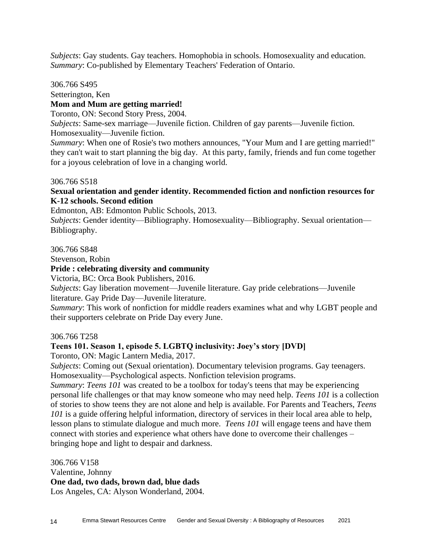*Subjects*: Gay students. Gay teachers. Homophobia in schools. Homosexuality and education. *Summary*: Co-published by Elementary Teachers' Federation of Ontario.

306.766 S495

Setterington, Ken

# **Mom and Mum are getting married!**

Toronto, ON: Second Story Press, 2004.

*Subjects*: Same-sex marriage—Juvenile fiction. Children of gay parents—Juvenile fiction. Homosexuality—Juvenile fiction.

*Summary*: When one of Rosie's two mothers announces, "Your Mum and I are getting married!" they can't wait to start planning the big day. At this party, family, friends and fun come together for a joyous celebration of love in a changing world.

306.766 S518

# **Sexual orientation and gender identity. Recommended fiction and nonfiction resources for K-12 schools. Second edition**

Edmonton, AB: Edmonton Public Schools, 2013.

*Subjects*: Gender identity—Bibliography. Homosexuality—Bibliography. Sexual orientation— Bibliography.

306.766 S848

Stevenson, Robin

# **Pride : celebrating diversity and community**

Victoria, BC: Orca Book Publishers, 2016.

*Subjects*: Gay liberation movement—Juvenile literature. Gay pride celebrations—Juvenile literature. Gay Pride Day—Juvenile literature.

*Summary*: This work of nonfiction for middle readers examines what and why LGBT people and their supporters celebrate on Pride Day every June.

306.766 T258

# **Teens 101. Season 1, episode 5. LGBTQ inclusivity: Joey's story [DVD]**

Toronto, ON: Magic Lantern Media, 2017.

*Subjects*: Coming out (Sexual orientation). Documentary television programs. Gay teenagers. Homosexuality—Psychological aspects. Nonfiction television programs.

*Summary*: *Teens 101* was created to be a toolbox for today's teens that may be experiencing personal life challenges or that may know someone who may need help. *Teens 101* is a collection of stories to show teens they are not alone and help is available. For Parents and Teachers, *Teens 101* is a guide offering helpful information, directory of services in their local area able to help, lesson plans to stimulate dialogue and much more. *Teens 101* will engage teens and have them connect with stories and experience what others have done to overcome their challenges – bringing hope and light to despair and darkness.

306.766 V158 Valentine, Johnny **One dad, two dads, brown dad, blue dads** Los Angeles, CA: Alyson Wonderland, 2004.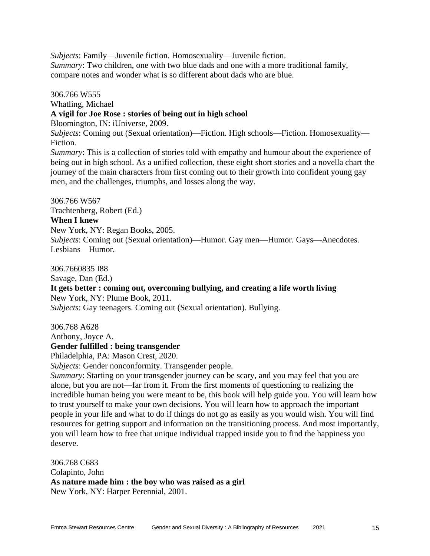*Subjects*: Family—Juvenile fiction. Homosexuality—Juvenile fiction. *Summary*: Two children, one with two blue dads and one with a more traditional family, compare notes and wonder what is so different about dads who are blue.

306.766 W555 Whatling, Michael **A vigil for Joe Rose : stories of being out in high school** Bloomington, IN: iUniverse, 2009. *Subjects*: Coming out (Sexual orientation)—Fiction. High schools—Fiction. Homosexuality— Fiction. *Summary*: This is a collection of stories told with empathy and humour about the experience of being out in high school. As a unified collection, these eight short stories and a novella chart the journey of the main characters from first coming out to their growth into confident young gay

306.766 W567 Trachtenberg, Robert (Ed.) **When I knew** New York, NY: Regan Books, 2005. *Subjects*: Coming out (Sexual orientation)—Humor. Gay men—Humor. Gays—Anecdotes. Lesbians—Humor.

306.7660835 I88 Savage, Dan (Ed.) **It gets better : coming out, overcoming bullying, and creating a life worth living** New York, NY: Plume Book, 2011. *Subjects*: Gay teenagers. Coming out (Sexual orientation). Bullying.

306.768 A628

Anthony, Joyce A.

# **Gender fulfilled : being transgender**

Philadelphia, PA: Mason Crest, 2020.

*Subjects*: Gender nonconformity. Transgender people.

men, and the challenges, triumphs, and losses along the way.

*Summary*: Starting on your transgender journey can be scary, and you may feel that you are alone, but you are not—far from it. From the first moments of questioning to realizing the incredible human being you were meant to be, this book will help guide you. You will learn how to trust yourself to make your own decisions. You will learn how to approach the important people in your life and what to do if things do not go as easily as you would wish. You will find resources for getting support and information on the transitioning process. And most importantly, you will learn how to free that unique individual trapped inside you to find the happiness you deserve.

306.768 C683 Colapinto, John **As nature made him : the boy who was raised as a girl** New York, NY: Harper Perennial, 2001.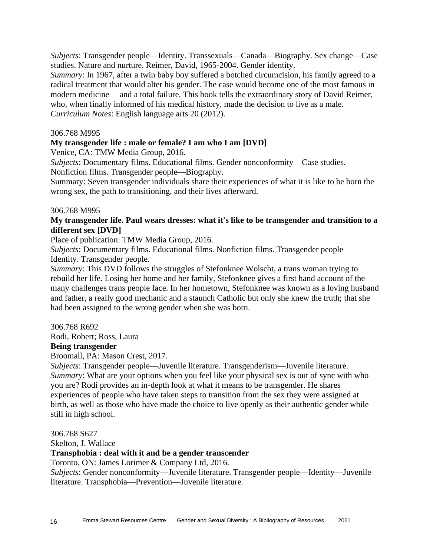*Subjects*: Transgender people—Identity. Transsexuals—Canada—Biography. Sex change—Case studies. Nature and nurture. Reimer, David, 1965-2004. Gender identity.

*Summary*: In 1967, after a twin baby boy suffered a botched circumcision, his family agreed to a radical treatment that would alter his gender. The case would become one of the most famous in modern medicine— and a total failure. This book tells the extraordinary story of David Reimer, who, when finally informed of his medical history, made the decision to live as a male. *Curriculum Notes*: English language arts 20 (2012).

#### 306.768 M995

#### **My transgender life : male or female? I am who I am [DVD]**

Venice, CA: TMW Media Group, 2016.

*Subjects*: Documentary films. Educational films. Gender nonconformity—Case studies.

Nonfiction films. Transgender people—Biography.

Summary: Seven transgender individuals share their experiences of what it is like to be born the wrong sex, the path to transitioning, and their lives afterward.

#### 306.768 M995

## **My transgender life. Paul wears dresses: what it's like to be transgender and transition to a different sex [DVD]**

Place of publication: TMW Media Group, 2016.

*Subjects*: Documentary films. Educational films. Nonfiction films. Transgender people— Identity. Transgender people.

*Summary*: This DVD follows the struggles of Stefonknee Wolscht, a trans woman trying to rebuild her life. Losing her home and her family, Stefonknee gives a first hand account of the many challenges trans people face. In her hometown, Stefonknee was known as a loving husband and father, a really good mechanic and a staunch Catholic but only she knew the truth; that she had been assigned to the wrong gender when she was born.

306.768 R692

Rodi, Robert; Ross, Laura

#### **Being transgender**

Broomall, PA: Mason Crest, 2017.

*Subjects*: Transgender people—Juvenile literature. Transgenderism—Juvenile literature. *Summary*: What are your options when you feel like your physical sex is out of sync with who you are? Rodi provides an in-depth look at what it means to be transgender. He shares experiences of people who have taken steps to transition from the sex they were assigned at birth, as well as those who have made the choice to live openly as their authentic gender while still in high school.

306.768 S627

Skelton, J. Wallace

#### **Transphobia : deal with it and be a gender transcender**

Toronto, ON: James Lorimer & Company Ltd, 2016.

*Subjects*: Gender nonconformity—Juvenile literature. Transgender people—Identity—Juvenile literature. Transphobia—Prevention—Juvenile literature.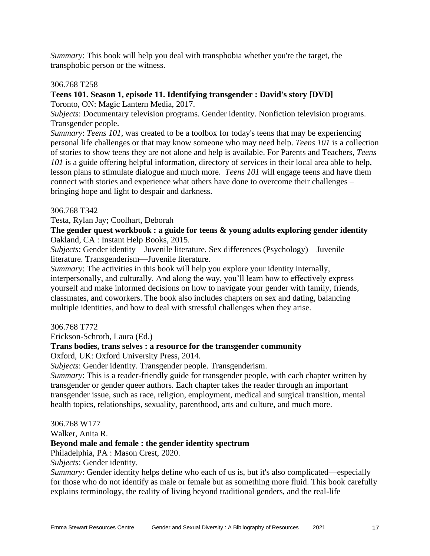*Summary*: This book will help you deal with transphobia whether you're the target, the transphobic person or the witness.

# 306.768 T258

# **Teens 101. Season 1, episode 11. Identifying transgender : David's story [DVD]**

Toronto, ON: Magic Lantern Media, 2017.

*Subjects*: Documentary television programs. Gender identity. Nonfiction television programs. Transgender people.

*Summary*: *Teens 101,* was created to be a toolbox for today's teens that may be experiencing personal life challenges or that may know someone who may need help. *Teens 101* is a collection of stories to show teens they are not alone and help is available. For Parents and Teachers, *Teens 101* is a guide offering helpful information, directory of services in their local area able to help, lesson plans to stimulate dialogue and much more. *Teens 101* will engage teens and have them connect with stories and experience what others have done to overcome their challenges – bringing hope and light to despair and darkness.

# 306.768 T342

Testa, Rylan Jay; Coolhart, Deborah

**The gender quest workbook : a guide for teens & young adults exploring gender identity** Oakland, CA : Instant Help Books, 2015.

*Subjects*: Gender identity—Juvenile literature. Sex differences (Psychology)—Juvenile literature. Transgenderism—Juvenile literature.

*Summary*: The activities in this book will help you explore your identity internally, interpersonally, and culturally. And along the way, you'll learn how to effectively express yourself and make informed decisions on how to navigate your gender with family, friends, classmates, and coworkers. The book also includes chapters on sex and dating, balancing multiple identities, and how to deal with stressful challenges when they arise.

# 306.768 T772

Erickson-Schroth, Laura (Ed.)

# **Trans bodies, trans selves : a resource for the transgender community**

Oxford, UK: Oxford University Press, 2014.

*Subjects*: Gender identity. Transgender people. Transgenderism.

*Summary*: This is a reader-friendly guide for transgender people, with each chapter written by transgender or gender queer authors. Each chapter takes the reader through an important transgender issue, such as race, religion, employment, medical and surgical transition, mental health topics, relationships, sexuality, parenthood, arts and culture, and much more.

#### 306.768 W177

Walker, Anita R.

# **Beyond male and female : the gender identity spectrum**

Philadelphia, PA : Mason Crest, 2020.

*Subjects*: Gender identity.

*Summary*: Gender identity helps define who each of us is, but it's also complicated—especially for those who do not identify as male or female but as something more fluid. This book carefully explains terminology, the reality of living beyond traditional genders, and the real-life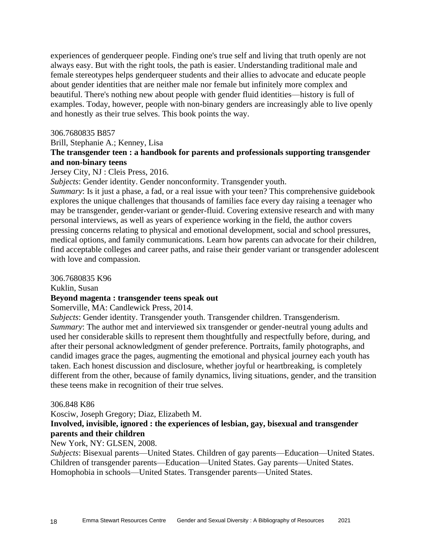experiences of genderqueer people. Finding one's true self and living that truth openly are not always easy. But with the right tools, the path is easier. Understanding traditional male and female stereotypes helps genderqueer students and their allies to advocate and educate people about gender identities that are neither male nor female but infinitely more complex and beautiful. There's nothing new about people with gender fluid identities—history is full of examples. Today, however, people with non-binary genders are increasingly able to live openly and honestly as their true selves. This book points the way.

#### 306.7680835 B857

Brill, Stephanie A.; Kenney, Lisa

# **The transgender teen : a handbook for parents and professionals supporting transgender and non-binary teens**

# Jersey City, NJ : Cleis Press, 2016.

*Subjects*: Gender identity. Gender nonconformity. Transgender youth.

*Summary*: Is it just a phase, a fad, or a real issue with your teen? This comprehensive guidebook explores the unique challenges that thousands of families face every day raising a teenager who may be transgender, gender-variant or gender-fluid. Covering extensive research and with many personal interviews, as well as years of experience working in the field, the author covers pressing concerns relating to physical and emotional development, social and school pressures, medical options, and family communications. Learn how parents can advocate for their children, find acceptable colleges and career paths, and raise their gender variant or transgender adolescent with love and compassion.

#### 306.7680835 K96

Kuklin, Susan

#### **Beyond magenta : transgender teens speak out**

Somerville, MA: Candlewick Press, 2014.

*Subjects*: Gender identity. Transgender youth. Transgender children. Transgenderism. *Summary*: The author met and interviewed six transgender or gender-neutral young adults and used her considerable skills to represent them thoughtfully and respectfully before, during, and after their personal acknowledgment of gender preference. Portraits, family photographs, and candid images grace the pages, augmenting the emotional and physical journey each youth has taken. Each honest discussion and disclosure, whether joyful or heartbreaking, is completely different from the other, because of family dynamics, living situations, gender, and the transition these teens make in recognition of their true selves.

#### 306.848 K86

Kosciw, Joseph Gregory; Diaz, Elizabeth M.

# **Involved, invisible, ignored : the experiences of lesbian, gay, bisexual and transgender parents and their children**

New York, NY: GLSEN, 2008.

*Subjects*: Bisexual parents—United States. Children of gay parents—Education—United States. Children of transgender parents—Education—United States. Gay parents—United States. Homophobia in schools—United States. Transgender parents—United States.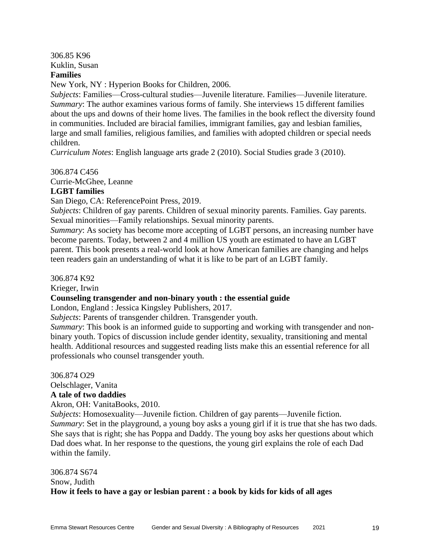306.85 K96 Kuklin, Susan

# **Families**

New York, NY : Hyperion Books for Children, 2006.

*Subjects*: Families—Cross-cultural studies—Juvenile literature. Families—Juvenile literature. *Summary*: The author examines various forms of family. She interviews 15 different families about the ups and downs of their home lives. The families in the book reflect the diversity found in communities. Included are biracial families, immigrant families, gay and lesbian families, large and small families, religious families, and families with adopted children or special needs children.

*Curriculum Notes*: English language arts grade 2 (2010). Social Studies grade 3 (2010).

306.874 C456

Currie-McGhee, Leanne

#### **LGBT families**

San Diego, CA: ReferencePoint Press, 2019.

*Subjects*: Children of gay parents. Children of sexual minority parents. Families. Gay parents. Sexual minorities—Family relationships. Sexual minority parents.

*Summary*: As society has become more accepting of LGBT persons, an increasing number have become parents. Today, between 2 and 4 million US youth are estimated to have an LGBT parent. This book presents a real-world look at how American families are changing and helps teen readers gain an understanding of what it is like to be part of an LGBT family.

306.874 K92

Krieger, Irwin

**Counseling transgender and non-binary youth : the essential guide**

London, England : Jessica Kingsley Publishers, 2017.

*Subjects*: Parents of transgender children. Transgender youth.

*Summary*: This book is an informed guide to supporting and working with transgender and nonbinary youth. Topics of discussion include gender identity, sexuality, transitioning and mental health. Additional resources and suggested reading lists make this an essential reference for all professionals who counsel transgender youth.

306.874 O29

Oelschlager, Vanita

# **A tale of two daddies**

Akron, OH: VanitaBooks, 2010.

*Subjects*: Homosexuality—Juvenile fiction. Children of gay parents—Juvenile fiction. *Summary*: Set in the playground, a young boy asks a young girl if it is true that she has two dads. She says that is right; she has Poppa and Daddy. The young boy asks her questions about which Dad does what. In her response to the questions, the young girl explains the role of each Dad within the family.

306.874 S674 Snow, Judith **How it feels to have a gay or lesbian parent : a book by kids for kids of all ages**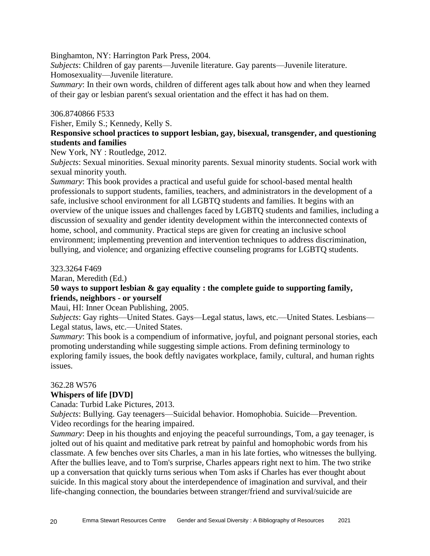Binghamton, NY: Harrington Park Press, 2004.

*Subjects*: Children of gay parents—Juvenile literature. Gay parents—Juvenile literature. Homosexuality—Juvenile literature.

*Summary*: In their own words, children of different ages talk about how and when they learned of their gay or lesbian parent's sexual orientation and the effect it has had on them.

# 306.8740866 F533

Fisher, Emily S.; Kennedy, Kelly S.

# **Responsive school practices to support lesbian, gay, bisexual, transgender, and questioning students and families**

New York, NY : Routledge, 2012.

*Subjects*: Sexual minorities. Sexual minority parents. Sexual minority students. Social work with sexual minority youth.

*Summary*: This book provides a practical and useful guide for school-based mental health professionals to support students, families, teachers, and administrators in the development of a safe, inclusive school environment for all LGBTQ students and families. It begins with an overview of the unique issues and challenges faced by LGBTQ students and families, including a discussion of sexuality and gender identity development within the interconnected contexts of home, school, and community. Practical steps are given for creating an inclusive school environment; implementing prevention and intervention techniques to address discrimination, bullying, and violence; and organizing effective counseling programs for LGBTQ students.

#### 323.3264 F469

Maran, Meredith (Ed.)

# **50 ways to support lesbian & gay equality : the complete guide to supporting family, friends, neighbors - or yourself**

Maui, HI: Inner Ocean Publishing, 2005.

*Subjects*: Gay rights—United States. Gays—Legal status, laws, etc.—United States. Lesbians— Legal status, laws, etc.—United States.

*Summary*: This book is a compendium of informative, joyful, and poignant personal stories, each promoting understanding while suggesting simple actions. From defining terminology to exploring family issues, the book deftly navigates workplace, family, cultural, and human rights issues.

#### 362.28 W576

# **Whispers of life [DVD]**

Canada: Turbid Lake Pictures, 2013.

*Subjects*: Bullying. Gay teenagers—Suicidal behavior. Homophobia. Suicide—Prevention. Video recordings for the hearing impaired.

*Summary*: Deep in his thoughts and enjoying the peaceful surroundings, Tom, a gay teenager, is jolted out of his quaint and meditative park retreat by painful and homophobic words from his classmate. A few benches over sits Charles, a man in his late forties, who witnesses the bullying. After the bullies leave, and to Tom's surprise, Charles appears right next to him. The two strike up a conversation that quickly turns serious when Tom asks if Charles has ever thought about suicide. In this magical story about the interdependence of imagination and survival, and their life-changing connection, the boundaries between stranger/friend and survival/suicide are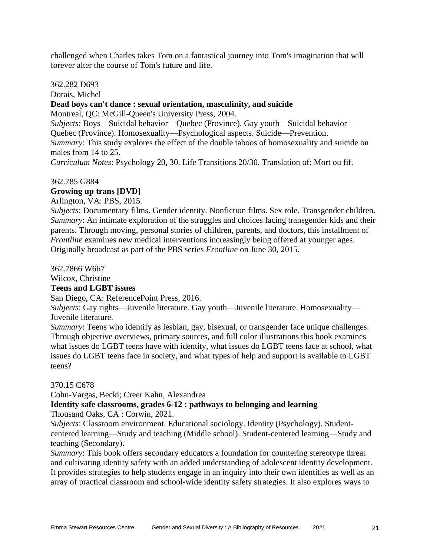challenged when Charles takes Tom on a fantastical journey into Tom's imagination that will forever alter the course of Tom's future and life.

362.282 D693

Dorais, Michel

# **Dead boys can't dance : sexual orientation, masculinity, and suicide**

Montreal, QC: McGill-Queen's University Press, 2004.

*Subjects*: Boys—Suicidal behavior—Quebec (Province). Gay youth—Suicidal behavior—

Quebec (Province). Homosexuality—Psychological aspects. Suicide—Prevention.

*Summary*: This study explores the effect of the double taboos of homosexuality and suicide on males from 14 to 25.

*Curriculum Notes*: Psychology 20, 30. Life Transitions 20/30. Translation of: Mort ou fif.

# 362.785 G884

# **Growing up trans [DVD]**

Arlington, VA: PBS, 2015.

*Subjects*: Documentary films. Gender identity. Nonfiction films. Sex role. Transgender children. *Summary*: An intimate exploration of the struggles and choices facing transgender kids and their parents. Through moving, personal stories of children, parents, and doctors, this installment of *Frontline* examines new medical interventions increasingly being offered at younger ages. Originally broadcast as part of the PBS series *Frontline* on June 30, 2015.

362.7866 W667 Wilcox, Christine

# **Teens and LGBT issues**

San Diego, CA: ReferencePoint Press, 2016.

*Subjects*: Gay rights—Juvenile literature. Gay youth—Juvenile literature. Homosexuality— Juvenile literature.

*Summary*: Teens who identify as lesbian, gay, bisexual, or transgender face unique challenges. Through objective overviews, primary sources, and full color illustrations this book examines what issues do LGBT teens have with identity, what issues do LGBT teens face at school, what issues do LGBT teens face in society, and what types of help and support is available to LGBT teens?

# 370.15 C678

Cohn-Vargas, Becki; Creer Kahn, Alexandrea

#### **Identity safe classrooms, grades 6-12 : pathways to belonging and learning** Thousand Oaks, CA : Corwin, 2021.

*Subjects*: Classroom environment. Educational sociology. Identity (Psychology). Studentcentered learning—Study and teaching (Middle school). Student-centered learning—Study and teaching (Secondary).

*Summary*: This book offers secondary educators a foundation for countering stereotype threat and cultivating identity safety with an added understanding of adolescent identity development. It provides strategies to help students engage in an inquiry into their own identities as well as an array of practical classroom and school-wide identity safety strategies. It also explores ways to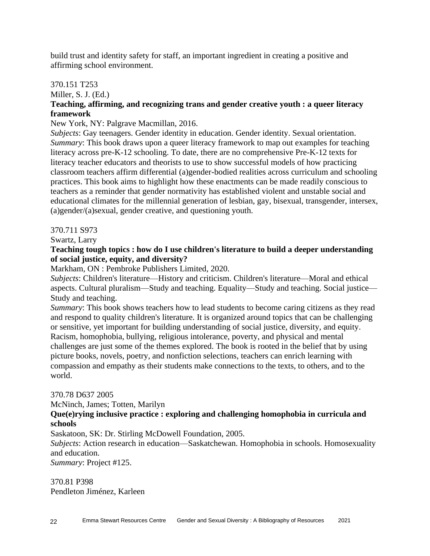build trust and identity safety for staff, an important ingredient in creating a positive and affirming school environment.

# 370.151 T253

Miller, S. J. (Ed.)

# **Teaching, affirming, and recognizing trans and gender creative youth : a queer literacy framework**

# New York, NY: Palgrave Macmillan, 2016.

*Subjects*: Gay teenagers. Gender identity in education. Gender identity. Sexual orientation. *Summary*: This book draws upon a queer literacy framework to map out examples for teaching literacy across pre-K-12 schooling. To date, there are no comprehensive Pre-K-12 texts for literacy teacher educators and theorists to use to show successful models of how practicing classroom teachers affirm differential (a)gender-bodied realities across curriculum and schooling practices. This book aims to highlight how these enactments can be made readily conscious to teachers as a reminder that gender normativity has established violent and unstable social and educational climates for the millennial generation of lesbian, gay, bisexual, transgender, intersex, (a)gender/(a)sexual, gender creative, and questioning youth.

# 370.711 S973

Swartz, Larry

# **Teaching tough topics : how do I use children's literature to build a deeper understanding of social justice, equity, and diversity?**

Markham, ON : Pembroke Publishers Limited, 2020.

*Subjects*: Children's literature—History and criticism. Children's literature—Moral and ethical aspects. Cultural pluralism—Study and teaching. Equality—Study and teaching. Social justice— Study and teaching.

*Summary*: This book shows teachers how to lead students to become caring citizens as they read and respond to quality children's literature. It is organized around topics that can be challenging or sensitive, yet important for building understanding of social justice, diversity, and equity. Racism, homophobia, bullying, religious intolerance, poverty, and physical and mental challenges are just some of the themes explored. The book is rooted in the belief that by using picture books, novels, poetry, and nonfiction selections, teachers can enrich learning with compassion and empathy as their students make connections to the texts, to others, and to the world.

# 370.78 D637 2005

McNinch, James; Totten, Marilyn

# **Que(e)rying inclusive practice : exploring and challenging homophobia in curricula and schools**

Saskatoon, SK: Dr. Stirling McDowell Foundation, 2005.

*Subjects*: Action research in education—Saskatchewan. Homophobia in schools. Homosexuality and education.

*Summary*: Project #125.

370.81 P398 Pendleton Jiménez, Karleen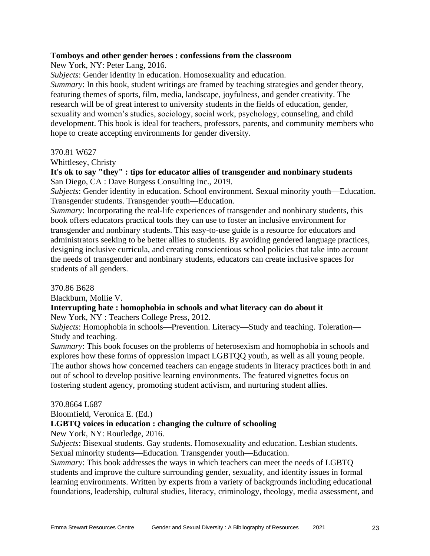#### **Tomboys and other gender heroes : confessions from the classroom**

New York, NY: Peter Lang, 2016.

*Subjects*: Gender identity in education. Homosexuality and education.

*Summary*: In this book, student writings are framed by teaching strategies and gender theory, featuring themes of sports, film, media, landscape, joyfulness, and gender creativity. The research will be of great interest to university students in the fields of education, gender, sexuality and women's studies, sociology, social work, psychology, counseling, and child development. This book is ideal for teachers, professors, parents, and community members who hope to create accepting environments for gender diversity.

#### 370.81 W627

Whittlesey, Christy

**It's ok to say "they" : tips for educator allies of transgender and nonbinary students** San Diego, CA : Dave Burgess Consulting Inc., 2019.

*Subjects*: Gender identity in education. School environment. Sexual minority youth—Education. Transgender students. Transgender youth—Education.

*Summary*: Incorporating the real-life experiences of transgender and nonbinary students, this book offers educators practical tools they can use to foster an inclusive environment for transgender and nonbinary students. This easy-to-use guide is a resource for educators and administrators seeking to be better allies to students. By avoiding gendered language practices, designing inclusive curricula, and creating conscientious school policies that take into account the needs of transgender and nonbinary students, educators can create inclusive spaces for students of all genders.

#### 370.86 B628

Blackburn, Mollie V.

# **Interrupting hate : homophobia in schools and what literacy can do about it**

New York, NY : Teachers College Press, 2012.

*Subjects*: Homophobia in schools—Prevention. Literacy—Study and teaching. Toleration— Study and teaching.

*Summary*: This book focuses on the problems of heterosexism and homophobia in schools and explores how these forms of oppression impact LGBTQQ youth, as well as all young people. The author shows how concerned teachers can engage students in literacy practices both in and out of school to develop positive learning environments. The featured vignettes focus on fostering student agency, promoting student activism, and nurturing student allies.

#### 370.8664 L687

Bloomfield, Veronica E. (Ed.)

# **LGBTQ voices in education : changing the culture of schooling**

New York, NY: Routledge, 2016.

*Subjects*: Bisexual students. Gay students. Homosexuality and education. Lesbian students. Sexual minority students—Education. Transgender youth—Education.

*Summary*: This book addresses the ways in which teachers can meet the needs of LGBTQ students and improve the culture surrounding gender, sexuality, and identity issues in formal learning environments. Written by experts from a variety of backgrounds including educational foundations, leadership, cultural studies, literacy, criminology, theology, media assessment, and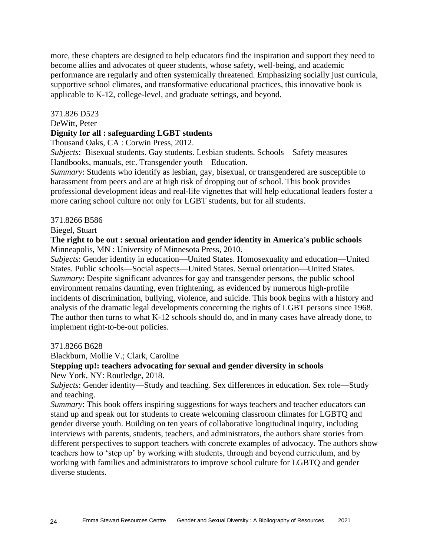more, these chapters are designed to help educators find the inspiration and support they need to become allies and advocates of queer students, whose safety, well-being, and academic performance are regularly and often systemically threatened. Emphasizing socially just curricula, supportive school climates, and transformative educational practices, this innovative book is applicable to K-12, college-level, and graduate settings, and beyond.

#### 371.826 D523

#### DeWitt, Peter

# **Dignity for all : safeguarding LGBT students**

Thousand Oaks, CA : Corwin Press, 2012.

*Subjects*: Bisexual students. Gay students. Lesbian students. Schools—Safety measures— Handbooks, manuals, etc. Transgender youth—Education.

*Summary*: Students who identify as lesbian, gay, bisexual, or transgendered are susceptible to harassment from peers and are at high risk of dropping out of school. This book provides professional development ideas and real-life vignettes that will help educational leaders foster a more caring school culture not only for LGBT students, but for all students.

#### 371.8266 B586

Biegel, Stuart

# **The right to be out : sexual orientation and gender identity in America's public schools** Minneapolis, MN : University of Minnesota Press, 2010.

*Subjects*: Gender identity in education—United States. Homosexuality and education—United States. Public schools—Social aspects—United States. Sexual orientation—United States. *Summary*: Despite significant advances for gay and transgender persons, the public school environment remains daunting, even frightening, as evidenced by numerous high-profile incidents of discrimination, bullying, violence, and suicide. This book begins with a history and analysis of the dramatic legal developments concerning the rights of LGBT persons since 1968. The author then turns to what K-12 schools should do, and in many cases have already done, to implement right-to-be-out policies.

371.8266 B628

Blackburn, Mollie V.; Clark, Caroline

#### **Stepping up!: teachers advocating for sexual and gender diversity in schools** New York, NY: Routledge, 2018.

*Subjects*: Gender identity—Study and teaching. Sex differences in education. Sex role—Study and teaching.

*Summary*: This book offers inspiring suggestions for ways teachers and teacher educators can stand up and speak out for students to create welcoming classroom climates for LGBTQ and gender diverse youth. Building on ten years of collaborative longitudinal inquiry, including interviews with parents, students, teachers, and administrators, the authors share stories from different perspectives to support teachers with concrete examples of advocacy. The authors show teachers how to 'step up' by working with students, through and beyond curriculum, and by working with families and administrators to improve school culture for LGBTQ and gender diverse students.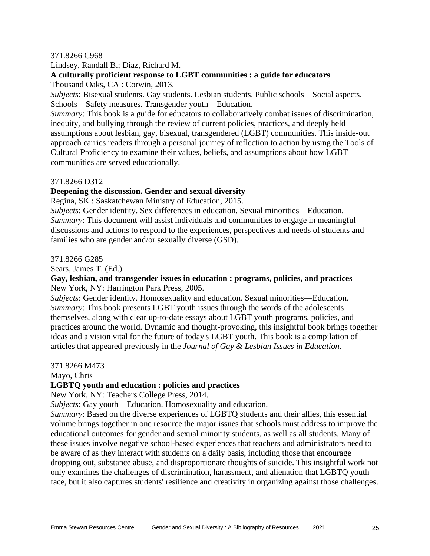#### 371.8266 C968

Lindsey, Randall B.; Diaz, Richard M.

# **A culturally proficient response to LGBT communities : a guide for educators**

Thousand Oaks, CA : Corwin, 2013.

*Subjects*: Bisexual students. Gay students. Lesbian students. Public schools—Social aspects. Schools—Safety measures. Transgender youth—Education.

*Summary*: This book is a guide for educators to collaboratively combat issues of discrimination, inequity, and bullying through the review of current policies, practices, and deeply held assumptions about lesbian, gay, bisexual, transgendered (LGBT) communities. This inside-out approach carries readers through a personal journey of reflection to action by using the Tools of Cultural Proficiency to examine their values, beliefs, and assumptions about how LGBT communities are served educationally.

# 371.8266 D312

# **Deepening the discussion. Gender and sexual diversity**

Regina, SK : Saskatchewan Ministry of Education, 2015.

*Subjects*: Gender identity. Sex differences in education. Sexual minorities—Education. *Summary*: This document will assist individuals and communities to engage in meaningful discussions and actions to respond to the experiences, perspectives and needs of students and families who are gender and/or sexually diverse (GSD).

#### 371.8266 G285

Sears, James T. (Ed.)

# **Gay, lesbian, and transgender issues in education : programs, policies, and practices** New York, NY: Harrington Park Press, 2005.

*Subjects*: Gender identity. Homosexuality and education. Sexual minorities—Education. *Summary*: This book presents LGBT youth issues through the words of the adolescents themselves, along with clear up-to-date essays about LGBT youth programs, policies, and practices around the world. Dynamic and thought-provoking, this insightful book brings together ideas and a vision vital for the future of today's LGBT youth. This book is a compilation of articles that appeared previously in the *Journal of Gay & Lesbian Issues in Education*.

#### 371.8266 M473

Mayo, Chris

# **LGBTQ youth and education : policies and practices**

New York, NY: Teachers College Press, 2014.

*Subjects*: Gay youth—Education. Homosexuality and education.

*Summary*: Based on the diverse experiences of LGBTQ students and their allies, this essential volume brings together in one resource the major issues that schools must address to improve the educational outcomes for gender and sexual minority students, as well as all students. Many of these issues involve negative school-based experiences that teachers and administrators need to be aware of as they interact with students on a daily basis, including those that encourage dropping out, substance abuse, and disproportionate thoughts of suicide. This insightful work not only examines the challenges of discrimination, harassment, and alienation that LGBTQ youth face, but it also captures students' resilience and creativity in organizing against those challenges.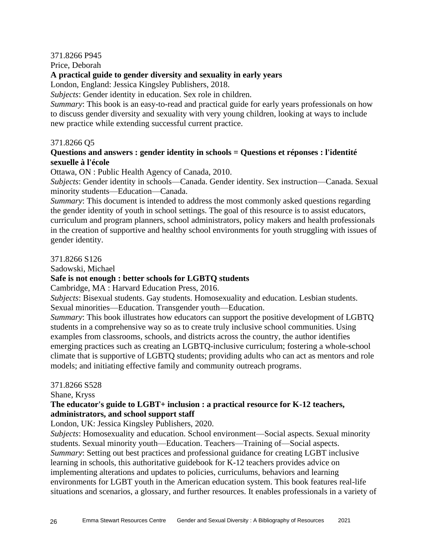# 371.8266 P945

Price, Deborah

# **A practical guide to gender diversity and sexuality in early years**

London, England: Jessica Kingsley Publishers, 2018.

*Subjects*: Gender identity in education. Sex role in children.

*Summary*: This book is an easy-to-read and practical guide for early years professionals on how to discuss gender diversity and sexuality with very young children, looking at ways to include new practice while extending successful current practice.

# 371.8266 Q5

# **Questions and answers : gender identity in schools = Questions et réponses : l'identité sexuelle à l'école**

Ottawa, ON : Public Health Agency of Canada, 2010.

*Subjects*: Gender identity in schools—Canada. Gender identity. Sex instruction—Canada. Sexual minority students—Education—Canada.

*Summary*: This document is intended to address the most commonly asked questions regarding the gender identity of youth in school settings. The goal of this resource is to assist educators, curriculum and program planners, school administrators, policy makers and health professionals in the creation of supportive and healthy school environments for youth struggling with issues of gender identity.

# 371.8266 S126

Sadowski, Michael

# **Safe is not enough : better schools for LGBTQ students**

Cambridge, MA : Harvard Education Press, 2016.

*Subjects*: Bisexual students. Gay students. Homosexuality and education. Lesbian students. Sexual minorities—Education. Transgender youth—Education.

*Summary*: This book illustrates how educators can support the positive development of LGBTQ students in a comprehensive way so as to create truly inclusive school communities. Using examples from classrooms, schools, and districts across the country, the author identifies emerging practices such as creating an LGBTQ-inclusive curriculum; fostering a whole-school climate that is supportive of LGBTQ students; providing adults who can act as mentors and role models; and initiating effective family and community outreach programs.

# 371.8266 S528

Shane, Kryss

# **The educator's guide to LGBT+ inclusion : a practical resource for K-12 teachers, administrators, and school support staff**

London, UK: Jessica Kingsley Publishers, 2020.

*Subjects*: Homosexuality and education. School environment—Social aspects. Sexual minority students. Sexual minority youth—Education. Teachers—Training of—Social aspects. *Summary*: Setting out best practices and professional guidance for creating LGBT inclusive learning in schools, this authoritative guidebook for K-12 teachers provides advice on implementing alterations and updates to policies, curriculums, behaviors and learning environments for LGBT youth in the American education system. This book features real-life situations and scenarios, a glossary, and further resources. It enables professionals in a variety of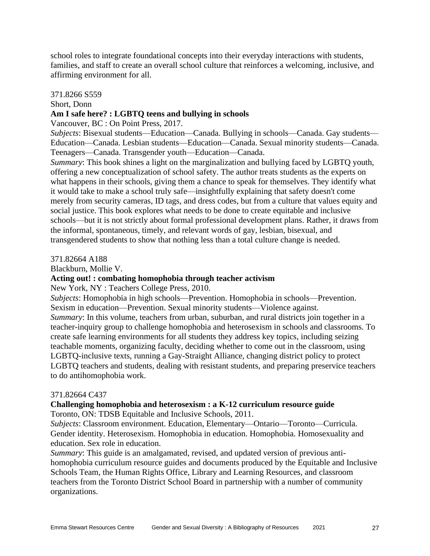school roles to integrate foundational concepts into their everyday interactions with students, families, and staff to create an overall school culture that reinforces a welcoming, inclusive, and affirming environment for all.

#### 371.8266 S559

#### Short, Donn

#### **Am I safe here? : LGBTQ teens and bullying in schools**

Vancouver, BC : On Point Press, 2017.

*Subjects*: Bisexual students—Education—Canada. Bullying in schools—Canada. Gay students— Education—Canada. Lesbian students—Education—Canada. Sexual minority students—Canada. Teenagers—Canada. Transgender youth—Education—Canada.

*Summary*: This book shines a light on the marginalization and bullying faced by LGBTQ youth, offering a new conceptualization of school safety. The author treats students as the experts on what happens in their schools, giving them a chance to speak for themselves. They identify what it would take to make a school truly safe—insightfully explaining that safety doesn't come merely from security cameras, ID tags, and dress codes, but from a culture that values equity and social justice. This book explores what needs to be done to create equitable and inclusive schools—but it is not strictly about formal professional development plans. Rather, it draws from the informal, spontaneous, timely, and relevant words of gay, lesbian, bisexual, and transgendered students to show that nothing less than a total culture change is needed.

371.82664 A188

Blackburn, Mollie V.

#### **Acting out! : combating homophobia through teacher activism**

New York, NY : Teachers College Press, 2010.

*Subjects*: Homophobia in high schools—Prevention. Homophobia in schools—Prevention. Sexism in education—Prevention. Sexual minority students—Violence against. *Summary*: In this volume, teachers from urban, suburban, and rural districts join together in a teacher-inquiry group to challenge homophobia and heterosexism in schools and classrooms. To create safe learning environments for all students they address key topics, including seizing teachable moments, organizing faculty, deciding whether to come out in the classroom, using LGBTQ-inclusive texts, running a Gay-Straight Alliance, changing district policy to protect LGBTQ teachers and students, dealing with resistant students, and preparing preservice teachers to do antihomophobia work.

#### 371.82664 C437

# **Challenging homophobia and heterosexism : a K-12 curriculum resource guide**

Toronto, ON: TDSB Equitable and Inclusive Schools, 2011.

*Subjects*: Classroom environment. Education, Elementary—Ontario—Toronto—Curricula. Gender identity. Heterosexism. Homophobia in education. Homophobia. Homosexuality and education. Sex role in education.

*Summary*: This guide is an amalgamated, revised, and updated version of previous antihomophobia curriculum resource guides and documents produced by the Equitable and Inclusive Schools Team, the Human Rights Office, Library and Learning Resources, and classroom teachers from the Toronto District School Board in partnership with a number of community organizations.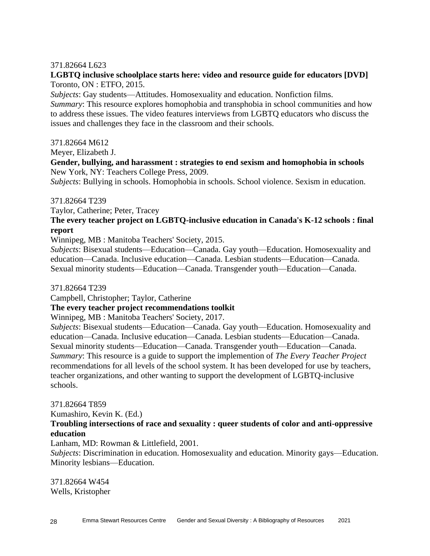## 371.82664 L623

# **LGBTQ inclusive schoolplace starts here: video and resource guide for educators [DVD]** Toronto, ON : ETFO, 2015.

*Subjects*: Gay students—Attitudes. Homosexuality and education. Nonfiction films. *Summary*: This resource explores homophobia and transphobia in school communities and how to address these issues. The video features interviews from LGBTQ educators who discuss the issues and challenges they face in the classroom and their schools.

#### 371.82664 M612

Meyer, Elizabeth J.

# **Gender, bullying, and harassment : strategies to end sexism and homophobia in schools** New York, NY: Teachers College Press, 2009.

*Subjects*: Bullying in schools. Homophobia in schools. School violence. Sexism in education.

# 371.82664 T239

Taylor, Catherine; Peter, Tracey

# **The every teacher project on LGBTQ-inclusive education in Canada's K-12 schools : final report**

Winnipeg, MB : Manitoba Teachers' Society, 2015.

*Subjects*: Bisexual students—Education—Canada. Gay youth—Education. Homosexuality and education—Canada. Inclusive education—Canada. Lesbian students—Education—Canada. Sexual minority students—Education—Canada. Transgender youth—Education—Canada.

371.82664 T239

Campbell, Christopher; Taylor, Catherine

# **The every teacher project recommendations toolkit**

Winnipeg, MB : Manitoba Teachers' Society, 2017.

*Subjects*: Bisexual students—Education—Canada. Gay youth—Education. Homosexuality and education—Canada. Inclusive education—Canada. Lesbian students—Education—Canada. Sexual minority students—Education—Canada. Transgender youth—Education—Canada. *Summary*: This resource is a guide to support the implemention of *The Every Teacher Project* recommendations for all levels of the school system. It has been developed for use by teachers, teacher organizations, and other wanting to support the development of LGBTQ-inclusive schools.

# 371.82664 T859

Kumashiro, Kevin K. (Ed.)

# **Troubling intersections of race and sexuality : queer students of color and anti-oppressive education**

Lanham, MD: Rowman & Littlefield, 2001.

*Subjects*: Discrimination in education. Homosexuality and education. Minority gays—Education. Minority lesbians—Education.

371.82664 W454 Wells, Kristopher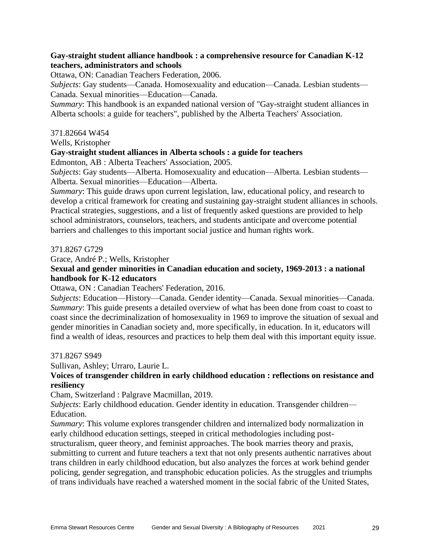# **Gay-straight student alliance handbook : a comprehensive resource for Canadian K-12 teachers, administrators and schools**

Ottawa, ON: Canadian Teachers Federation, 2006.

*Subjects*: Gay students—Canada. Homosexuality and education—Canada. Lesbian students— Canada. Sexual minorities—Education—Canada.

*Summary*: This handbook is an expanded national version of "Gay-straight student alliances in Alberta schools: a guide for teachers", published by the Alberta Teachers' Association.

#### 371.82664 W454

Wells, Kristopher

#### **Gay-straight student alliances in Alberta schools : a guide for teachers**

Edmonton, AB : Alberta Teachers' Association, 2005.

*Subjects*: Gay students—Alberta. Homosexuality and education—Alberta. Lesbian students— Alberta. Sexual minorities—Education—Alberta.

*Summary*: This guide draws upon current legislation, law, educational policy, and research to develop a critical framework for creating and sustaining gay-straight student alliances in schools. Practical strategies, suggestions, and a list of frequently asked questions are provided to help school administrators, counselors, teachers, and students anticipate and overcome potential barriers and challenges to this important social justice and human rights work.

#### 371.8267 G729

Grace, André P.; Wells, Kristopher

**Sexual and gender minorities in Canadian education and society, 1969-2013 : a national handbook for K-12 educators**

Ottawa, ON : Canadian Teachers' Federation, 2016.

*Subjects*: Education—History—Canada. Gender identity—Canada. Sexual minorities—Canada. *Summary*: This guide presents a detailed overview of what has been done from coast to coast to coast since the decriminalization of homosexuality in 1969 to improve the situation of sexual and gender minorities in Canadian society and, more specifically, in education. In it, educators will find a wealth of ideas, resources and practices to help them deal with this important equity issue.

#### 371.8267 S949

Sullivan, Ashley; Urraro, Laurie L.

# **Voices of transgender children in early childhood education : reflections on resistance and resiliency**

Cham, Switzerland : Palgrave Macmillan, 2019.

*Subjects*: Early childhood education. Gender identity in education. Transgender children— Education.

*Summary*: This volume explores transgender children and internalized body normalization in early childhood education settings, steeped in critical methodologies including post-

structuralism, queer theory, and feminist approaches. The book marries theory and praxis, submitting to current and future teachers a text that not only presents authentic narratives about trans children in early childhood education, but also analyzes the forces at work behind gender policing, gender segregation, and transphobic education policies. As the struggles and triumphs of trans individuals have reached a watershed moment in the social fabric of the United States,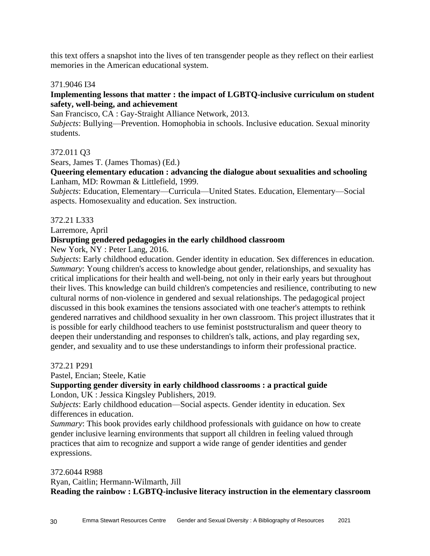this text offers a snapshot into the lives of ten transgender people as they reflect on their earliest memories in the American educational system.

# 371.9046 I34

# **Implementing lessons that matter : the impact of LGBTQ-inclusive curriculum on student safety, well-being, and achievement**

San Francisco, CA : Gay-Straight Alliance Network, 2013.

*Subjects*: Bullying—Prevention. Homophobia in schools. Inclusive education. Sexual minority students.

# 372.011 Q3

Sears, James T. (James Thomas) (Ed.)

**Queering elementary education : advancing the dialogue about sexualities and schooling** Lanham, MD: Rowman & Littlefield, 1999.

*Subjects*: Education, Elementary—Curricula—United States. Education, Elementary—Social aspects. Homosexuality and education. Sex instruction.

#### 372.21 L333

Larremore, April

# **Disrupting gendered pedagogies in the early childhood classroom**

New York, NY : Peter Lang, 2016.

*Subjects*: Early childhood education. Gender identity in education. Sex differences in education. *Summary*: Young children's access to knowledge about gender, relationships, and sexuality has critical implications for their health and well-being, not only in their early years but throughout their lives. This knowledge can build children's competencies and resilience, contributing to new cultural norms of non-violence in gendered and sexual relationships. The pedagogical project discussed in this book examines the tensions associated with one teacher's attempts to rethink gendered narratives and childhood sexuality in her own classroom. This project illustrates that it is possible for early childhood teachers to use feminist poststructuralism and queer theory to deepen their understanding and responses to children's talk, actions, and play regarding sex, gender, and sexuality and to use these understandings to inform their professional practice.

372.21 P291

Pastel, Encian; Steele, Katie

#### **Supporting gender diversity in early childhood classrooms : a practical guide** London, UK : Jessica Kingsley Publishers, 2019.

*Subjects*: Early childhood education—Social aspects. Gender identity in education. Sex differences in education.

*Summary*: This book provides early childhood professionals with guidance on how to create gender inclusive learning environments that support all children in feeling valued through practices that aim to recognize and support a wide range of gender identities and gender expressions.

372.6044 R988 Ryan, Caitlin; Hermann-Wilmarth, Jill **Reading the rainbow : LGBTQ-inclusive literacy instruction in the elementary classroom**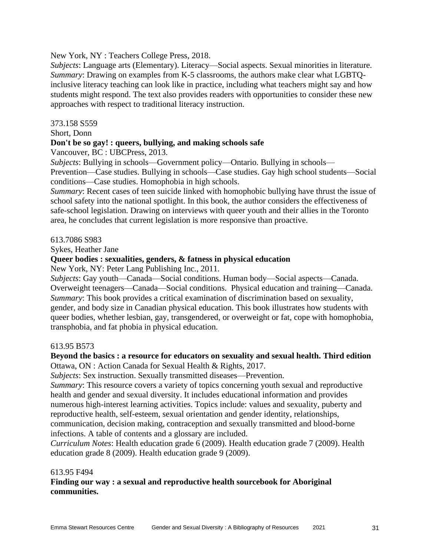New York, NY : Teachers College Press, 2018.

*Subjects*: Language arts (Elementary). Literacy—Social aspects. Sexual minorities in literature. *Summary*: Drawing on examples from K-5 classrooms, the authors make clear what LGBTQinclusive literacy teaching can look like in practice, including what teachers might say and how students might respond. The text also provides readers with opportunities to consider these new approaches with respect to traditional literacy instruction.

# 373.158 S559

Short, Donn

# **Don't be so gay! : queers, bullying, and making schools safe**

Vancouver, BC : UBCPress, 2013.

*Subjects*: Bullying in schools—Government policy—Ontario. Bullying in schools—

Prevention—Case studies. Bullying in schools—Case studies. Gay high school students—Social conditions—Case studies. Homophobia in high schools.

*Summary*: Recent cases of teen suicide linked with homophobic bullying have thrust the issue of school safety into the national spotlight. In this book, the author considers the effectiveness of safe-school legislation. Drawing on interviews with queer youth and their allies in the Toronto area, he concludes that current legislation is more responsive than proactive.

# 613.7086 S983

Sykes, Heather Jane

# **Queer bodies : sexualities, genders, & fatness in physical education**

New York, NY: Peter Lang Publishing Inc., 2011.

*Subjects*: Gay youth—Canada—Social conditions. Human body—Social aspects—Canada. Overweight teenagers—Canada—Social conditions. Physical education and training—Canada. *Summary*: This book provides a critical examination of discrimination based on sexuality, gender, and body size in Canadian physical education. This book illustrates how students with queer bodies, whether lesbian, gay, transgendered, or overweight or fat, cope with homophobia, transphobia, and fat phobia in physical education.

# 613.95 B573

# **Beyond the basics : a resource for educators on sexuality and sexual health. Third edition** Ottawa, ON : Action Canada for Sexual Health & Rights, 2017.

*Subjects*: Sex instruction. Sexually transmitted diseases—Prevention.

*Summary*: This resource covers a variety of topics concerning youth sexual and reproductive health and gender and sexual diversity. It includes educational information and provides numerous high-interest learning activities. Topics include: values and sexuality, puberty and reproductive health, self-esteem, sexual orientation and gender identity, relationships, communication, decision making, contraception and sexually transmitted and blood-borne infections. A table of contents and a glossary are included.

*Curriculum Notes*: Health education grade 6 (2009). Health education grade 7 (2009). Health education grade 8 (2009). Health education grade 9 (2009).

#### 613.95 F494

**Finding our way : a sexual and reproductive health sourcebook for Aboriginal communities.**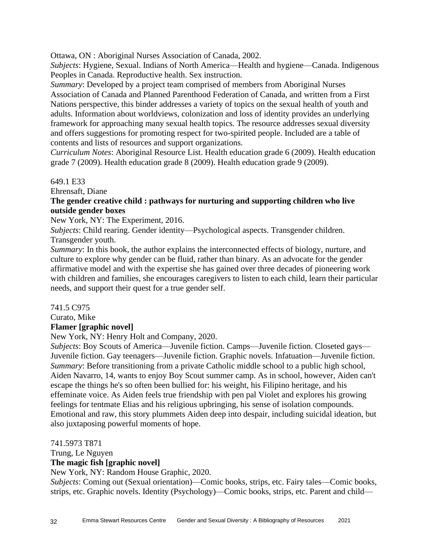Ottawa, ON : Aboriginal Nurses Association of Canada, 2002.

*Subjects*: Hygiene, Sexual. Indians of North America—Health and hygiene—Canada. Indigenous Peoples in Canada. Reproductive health. Sex instruction.

*Summary*: Developed by a project team comprised of members from Aboriginal Nurses Association of Canada and Planned Parenthood Federation of Canada, and written from a First Nations perspective, this binder addresses a variety of topics on the sexual health of youth and adults. Information about worldviews, colonization and loss of identity provides an underlying framework for approaching many sexual health topics. The resource addresses sexual diversity and offers suggestions for promoting respect for two-spirited people. Included are a table of contents and lists of resources and support organizations.

*Curriculum Notes*: Aboriginal Resource List. Health education grade 6 (2009). Health education grade 7 (2009). Health education grade 8 (2009). Health education grade 9 (2009).

# 649.1 E33

Ehrensaft, Diane

# **The gender creative child : pathways for nurturing and supporting children who live outside gender boxes**

New York, NY: The Experiment, 2016.

*Subjects*: Child rearing. Gender identity—Psychological aspects. Transgender children. Transgender youth.

*Summary*: In this book, the author explains the interconnected effects of biology, nurture, and culture to explore why gender can be fluid, rather than binary. As an advocate for the gender affirmative model and with the expertise she has gained over three decades of pioneering work with children and families, she encourages caregivers to listen to each child, learn their particular needs, and support their quest for a true gender self.

741.5 C975

Curato, Mike

# **Flamer [graphic novel]**

New York, NY: Henry Holt and Company, 2020.

*Subjects*: Boy Scouts of America—Juvenile fiction. Camps—Juvenile fiction. Closeted gays— Juvenile fiction. Gay teenagers—Juvenile fiction. Graphic novels. Infatuation—Juvenile fiction. *Summary*: Before transitioning from a private Catholic middle school to a public high school, Aiden Navarro, 14, wants to enjoy Boy Scout summer camp. As in school, however, Aiden can't escape the things he's so often been bullied for: his weight, his Filipino heritage, and his effeminate voice. As Aiden feels true friendship with pen pal Violet and explores his growing feelings for tentmate Elias and his religious upbringing, his sense of isolation compounds. Emotional and raw, this story plummets Aiden deep into despair, including suicidal ideation, but also juxtaposing powerful moments of hope.

741.5973 T871

Trung, Le Nguyen

# **The magic fish [graphic novel]**

New York, NY: Random House Graphic, 2020.

*Subjects*: Coming out (Sexual orientation)—Comic books, strips, etc. Fairy tales—Comic books, strips, etc. Graphic novels. Identity (Psychology)—Comic books, strips, etc. Parent and child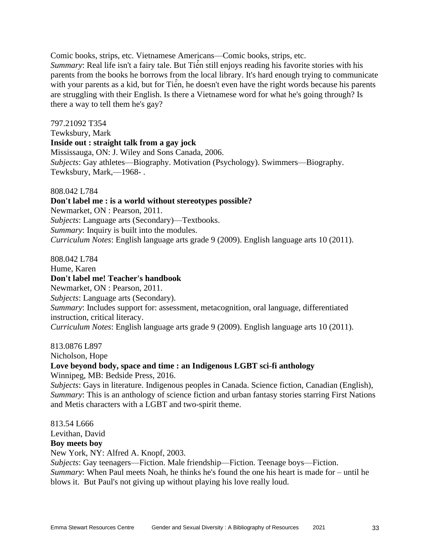Comic books, strips, etc. Vietnamese Americans—Comic books, strips, etc. Summary: Real life isn't a fairy tale. But Tiến still enjoys reading his favorite stories with his parents from the books he borrows from the local library. It's hard enough trying to communicate with your parents as a kid, but for Tien, he doesn't even have the right words because his parents are struggling with their English. Is there a Vietnamese word for what he's going through? Is there a way to tell them he's gay?

797.21092 T354 Tewksbury, Mark **Inside out : straight talk from a gay jock** Mississauga, ON: J. Wiley and Sons Canada, 2006. *Subjects*: Gay athletes—Biography. Motivation (Psychology). Swimmers—Biography. Tewksbury, Mark,—1968- .

#### 808.042 L784

**Don't label me : is a world without stereotypes possible?** Newmarket, ON : Pearson, 2011.

*Subjects*: Language arts (Secondary)—Textbooks.

*Summary*: Inquiry is built into the modules.

*Curriculum Notes*: English language arts grade 9 (2009). English language arts 10 (2011).

808.042 L784

Hume, Karen **Don't label me! Teacher's handbook** Newmarket, ON : Pearson, 2011. *Subjects*: Language arts (Secondary). *Summary*: Includes support for: assessment, metacognition, oral language, differentiated instruction, critical literacy. *Curriculum Notes*: English language arts grade 9 (2009). English language arts 10 (2011).

813.0876 L897

Nicholson, Hope

# **Love beyond body, space and time : an Indigenous LGBT sci-fi anthology**

Winnipeg, MB: Bedside Press, 2016.

*Subjects*: Gays in literature. Indigenous peoples in Canada. Science fiction, Canadian (English), *Summary*: This is an anthology of science fiction and urban fantasy stories starring First Nations and Metis characters with a LGBT and two-spirit theme.

813.54 L666 Levithan, David **Boy meets boy** New York, NY: Alfred A. Knopf, 2003. *Subjects*: Gay teenagers—Fiction. Male friendship—Fiction. Teenage boys—Fiction. *Summary*: When Paul meets Noah, he thinks he's found the one his heart is made for – until he blows it. But Paul's not giving up without playing his love really loud.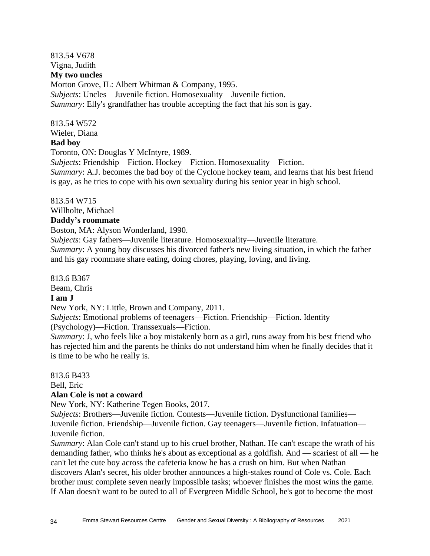# 813.54 V678 Vigna, Judith **My two uncles**

Morton Grove, IL: Albert Whitman & Company, 1995. *Subjects*: Uncles—Juvenile fiction. Homosexuality—Juvenile fiction. *Summary*: Elly's grandfather has trouble accepting the fact that his son is gay.

# 813.54 W572

Wieler, Diana **Bad boy**

Toronto, ON: Douglas Y McIntyre, 1989.

*Subjects*: Friendship—Fiction. Hockey—Fiction. Homosexuality—Fiction.

*Summary*: A.J. becomes the bad boy of the Cyclone hockey team, and learns that his best friend is gay, as he tries to cope with his own sexuality during his senior year in high school.

# 813.54 W715

Willholte, Michael

# **Daddy's roommate**

Boston, MA: Alyson Wonderland, 1990.

*Subjects*: Gay fathers—Juvenile literature. Homosexuality—Juvenile literature.

*Summary*: A young boy discusses his divorced father's new living situation, in which the father and his gay roommate share eating, doing chores, playing, loving, and living.

813.6 B367

Beam, Chris

# **I am J**

New York, NY: Little, Brown and Company, 2011.

*Subjects*: Emotional problems of teenagers—Fiction. Friendship—Fiction. Identity (Psychology)—Fiction. Transsexuals—Fiction.

*Summary*: J, who feels like a boy mistakenly born as a girl, runs away from his best friend who has rejected him and the parents he thinks do not understand him when he finally decides that it is time to be who he really is.

813.6 B433

Bell, Eric

# **Alan Cole is not a coward**

New York, NY: Katherine Tegen Books, 2017.

*Subjects*: Brothers—Juvenile fiction. Contests—Juvenile fiction. Dysfunctional families— Juvenile fiction. Friendship—Juvenile fiction. Gay teenagers—Juvenile fiction. Infatuation— Juvenile fiction.

*Summary*: Alan Cole can't stand up to his cruel brother, Nathan. He can't escape the wrath of his demanding father, who thinks he's about as exceptional as a goldfish. And — scariest of all — he can't let the cute boy across the cafeteria know he has a crush on him. But when Nathan discovers Alan's secret, his older brother announces a high-stakes round of Cole vs. Cole. Each brother must complete seven nearly impossible tasks; whoever finishes the most wins the game. If Alan doesn't want to be outed to all of Evergreen Middle School, he's got to become the most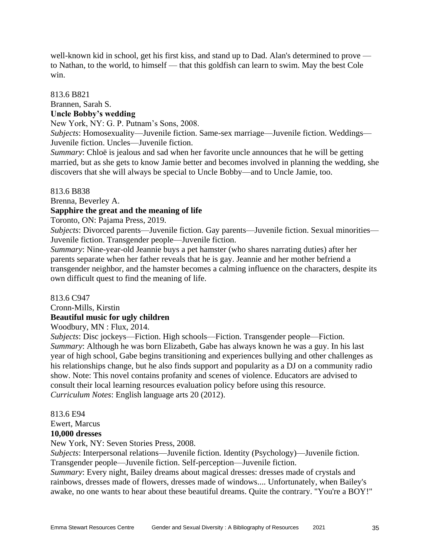well-known kid in school, get his first kiss, and stand up to Dad. Alan's determined to prove to Nathan, to the world, to himself — that this goldfish can learn to swim. May the best Cole win.

# 813.6 B821 Brannen, Sarah S. **Uncle Bobby's wedding**

New York, NY: G. P. Putnam's Sons, 2008.

*Subjects*: Homosexuality—Juvenile fiction. Same-sex marriage—Juvenile fiction. Weddings— Juvenile fiction. Uncles—Juvenile fiction.

*Summary*: Chloë is jealous and sad when her favorite uncle announces that he will be getting married, but as she gets to know Jamie better and becomes involved in planning the wedding, she discovers that she will always be special to Uncle Bobby—and to Uncle Jamie, too.

#### 813.6 B838

Brenna, Beverley A.

# **Sapphire the great and the meaning of life**

Toronto, ON: Pajama Press, 2019.

*Subjects*: Divorced parents—Juvenile fiction. Gay parents—Juvenile fiction. Sexual minorities— Juvenile fiction. Transgender people—Juvenile fiction.

*Summary*: Nine-year-old Jeannie buys a pet hamster (who shares narrating duties) after her parents separate when her father reveals that he is gay. Jeannie and her mother befriend a transgender neighbor, and the hamster becomes a calming influence on the characters, despite its own difficult quest to find the meaning of life.

# 813.6 C947 Cronn-Mills, Kirstin **Beautiful music for ugly children**

Woodbury, MN : Flux, 2014.

*Subjects*: Disc jockeys—Fiction. High schools—Fiction. Transgender people—Fiction. *Summary*: Although he was born Elizabeth, Gabe has always known he was a guy. In his last year of high school, Gabe begins transitioning and experiences bullying and other challenges as his relationships change, but he also finds support and popularity as a DJ on a community radio show. Note: This novel contains profanity and scenes of violence. Educators are advised to consult their local learning resources evaluation policy before using this resource. *Curriculum Notes*: English language arts 20 (2012).

# 813.6 E94

Ewert, Marcus

# **10,000 dresses**

New York, NY: Seven Stories Press, 2008.

*Subjects*: Interpersonal relations—Juvenile fiction. Identity (Psychology)—Juvenile fiction. Transgender people—Juvenile fiction. Self-perception—Juvenile fiction.

*Summary*: Every night, Bailey dreams about magical dresses: dresses made of crystals and rainbows, dresses made of flowers, dresses made of windows.... Unfortunately, when Bailey's awake, no one wants to hear about these beautiful dreams. Quite the contrary. "You're a BOY!"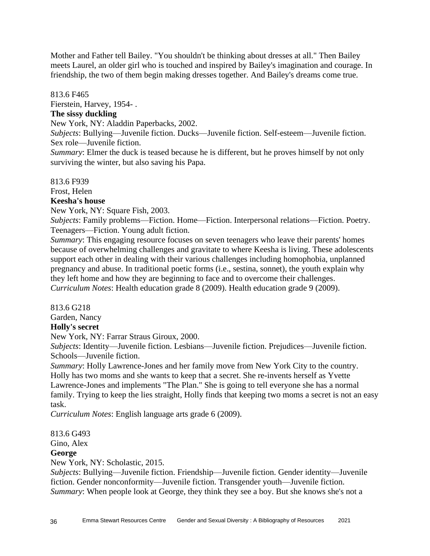Mother and Father tell Bailey. "You shouldn't be thinking about dresses at all." Then Bailey meets Laurel, an older girl who is touched and inspired by Bailey's imagination and courage. In friendship, the two of them begin making dresses together. And Bailey's dreams come true.

# 813.6 F465

Fierstein, Harvey, 1954- .

# **The sissy duckling**

New York, NY: Aladdin Paperbacks, 2002.

*Subjects*: Bullying—Juvenile fiction. Ducks—Juvenile fiction. Self-esteem—Juvenile fiction. Sex role—Juvenile fiction.

*Summary*: Elmer the duck is teased because he is different, but he proves himself by not only surviving the winter, but also saving his Papa.

813.6 F939

Frost, Helen

# **Keesha's house**

New York, NY: Square Fish, 2003.

*Subjects*: Family problems—Fiction. Home—Fiction. Interpersonal relations—Fiction. Poetry. Teenagers—Fiction. Young adult fiction.

*Summary*: This engaging resource focuses on seven teenagers who leave their parents' homes because of overwhelming challenges and gravitate to where Keesha is living. These adolescents support each other in dealing with their various challenges including homophobia, unplanned pregnancy and abuse. In traditional poetic forms (i.e., sestina, sonnet), the youth explain why they left home and how they are beginning to face and to overcome their challenges. *Curriculum Notes*: Health education grade 8 (2009). Health education grade 9 (2009).

#### 813.6 G218

Garden, Nancy **Holly's secret**

New York, NY: Farrar Straus Giroux, 2000.

*Subjects*: Identity—Juvenile fiction. Lesbians—Juvenile fiction. Prejudices—Juvenile fiction. Schools—Juvenile fiction.

*Summary*: Holly Lawrence-Jones and her family move from New York City to the country. Holly has two moms and she wants to keep that a secret. She re-invents herself as Yvette Lawrence-Jones and implements "The Plan." She is going to tell everyone she has a normal family. Trying to keep the lies straight, Holly finds that keeping two moms a secret is not an easy task.

*Curriculum Notes*: English language arts grade 6 (2009).

# 813.6 G493

Gino, Alex

# **George**

New York, NY: Scholastic, 2015.

*Subjects*: Bullying—Juvenile fiction. Friendship—Juvenile fiction. Gender identity—Juvenile fiction. Gender nonconformity—Juvenile fiction. Transgender youth—Juvenile fiction. *Summary*: When people look at George, they think they see a boy. But she knows she's not a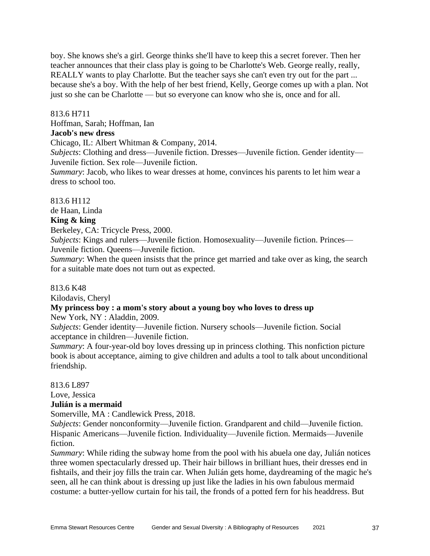boy. She knows she's a girl. George thinks she'll have to keep this a secret forever. Then her teacher announces that their class play is going to be Charlotte's Web. George really, really, REALLY wants to play Charlotte. But the teacher says she can't even try out for the part ... because she's a boy. With the help of her best friend, Kelly, George comes up with a plan. Not just so she can be Charlotte — but so everyone can know who she is, once and for all.

#### 813.6 H711

Hoffman, Sarah; Hoffman, Ian

# **Jacob's new dress**

Chicago, IL: Albert Whitman & Company, 2014.

*Subjects*: Clothing and dress—Juvenile fiction. Dresses—Juvenile fiction. Gender identity— Juvenile fiction. Sex role—Juvenile fiction.

*Summary*: Jacob, who likes to wear dresses at home, convinces his parents to let him wear a dress to school too.

#### 813.6 H112

de Haan, Linda

#### **King & king**

Berkeley, CA: Tricycle Press, 2000.

*Subjects*: Kings and rulers—Juvenile fiction. Homosexuality—Juvenile fiction. Princes— Juvenile fiction. Queens—Juvenile fiction.

*Summary*: When the queen insists that the prince get married and take over as king, the search for a suitable mate does not turn out as expected.

#### 813.6 K48

Kilodavis, Cheryl

# **My princess boy : a mom's story about a young boy who loves to dress up**

New York, NY : Aladdin, 2009.

*Subjects*: Gender identity—Juvenile fiction. Nursery schools—Juvenile fiction. Social acceptance in children—Juvenile fiction.

*Summary*: A four-year-old boy loves dressing up in princess clothing. This nonfiction picture book is about acceptance, aiming to give children and adults a tool to talk about unconditional friendship.

813.6 L897

Love, Jessica

#### **Julián is a mermaid**

Somerville, MA : Candlewick Press, 2018.

*Subjects*: Gender nonconformity—Juvenile fiction. Grandparent and child—Juvenile fiction. Hispanic Americans—Juvenile fiction. Individuality—Juvenile fiction. Mermaids—Juvenile fiction.

*Summary*: While riding the subway home from the pool with his abuela one day, Julián notices three women spectacularly dressed up. Their hair billows in brilliant hues, their dresses end in fishtails, and their joy fills the train car. When Julián gets home, daydreaming of the magic he's seen, all he can think about is dressing up just like the ladies in his own fabulous mermaid costume: a butter-yellow curtain for his tail, the fronds of a potted fern for his headdress. But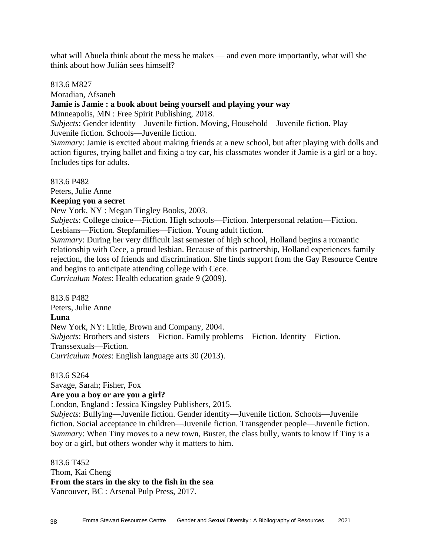what will Abuela think about the mess he makes — and even more importantly, what will she think about how Julián sees himself?

#### 813.6 M827

Moradian, Afsaneh

#### **Jamie is Jamie : a book about being yourself and playing your way**

Minneapolis, MN : Free Spirit Publishing, 2018.

*Subjects*: Gender identity—Juvenile fiction. Moving, Household—Juvenile fiction. Play— Juvenile fiction. Schools—Juvenile fiction.

*Summary*: Jamie is excited about making friends at a new school, but after playing with dolls and action figures, trying ballet and fixing a toy car, his classmates wonder if Jamie is a girl or a boy. Includes tips for adults.

813.6 P482

Peters, Julie Anne

#### **Keeping you a secret**

New York, NY : Megan Tingley Books, 2003.

*Subjects*: College choice—Fiction. High schools—Fiction. Interpersonal relation—Fiction. Lesbians—Fiction. Stepfamilies—Fiction. Young adult fiction.

*Summary*: During her very difficult last semester of high school, Holland begins a romantic relationship with Cece, a proud lesbian. Because of this partnership, Holland experiences family rejection, the loss of friends and discrimination. She finds support from the Gay Resource Centre and begins to anticipate attending college with Cece.

*Curriculum Notes*: Health education grade 9 (2009).

813.6 P482 Peters, Julie Anne **Luna** New York, NY: Little, Brown and Company, 2004. *Subjects*: Brothers and sisters—Fiction. Family problems—Fiction. Identity—Fiction. Transsexuals—Fiction. *Curriculum Notes*: English language arts 30 (2013).

813.6 S264

Savage, Sarah; Fisher, Fox

#### **Are you a boy or are you a girl?**

London, England : Jessica Kingsley Publishers, 2015.

*Subjects*: Bullying—Juvenile fiction. Gender identity—Juvenile fiction. Schools—Juvenile fiction. Social acceptance in children—Juvenile fiction. Transgender people—Juvenile fiction. *Summary*: When Tiny moves to a new town, Buster, the class bully, wants to know if Tiny is a boy or a girl, but others wonder why it matters to him.

813.6 T452 Thom, Kai Cheng **From the stars in the sky to the fish in the sea** Vancouver, BC : Arsenal Pulp Press, 2017.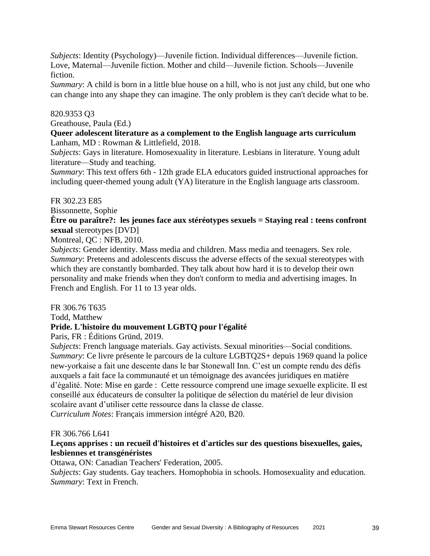*Subjects*: Identity (Psychology)—Juvenile fiction. Individual differences—Juvenile fiction. Love, Maternal—Juvenile fiction. Mother and child—Juvenile fiction. Schools—Juvenile fiction.

*Summary*: A child is born in a little blue house on a hill, who is not just any child, but one who can change into any shape they can imagine. The only problem is they can't decide what to be.

# 820.9353 Q3

Greathouse, Paula (Ed.)

#### **Queer adolescent literature as a complement to the English language arts curriculum** Lanham, MD : Rowman & Littlefield, 2018.

*Subjects*: Gays in literature. Homosexuality in literature. Lesbians in literature. Young adult literature—Study and teaching.

*Summary*: This text offers 6th - 12th grade ELA educators guided instructional approaches for including queer-themed young adult (YA) literature in the English language arts classroom.

# FR 302.23 E85

Bissonnette, Sophie

# **Être ou paraître?: les jeunes face aux stéréotypes sexuels = Staying real : teens confront sexual** stereotypes [DVD]

Montreal, QC : NFB, 2010.

*Subjects*: Gender identity. Mass media and children. Mass media and teenagers. Sex role. *Summary*: Preteens and adolescents discuss the adverse effects of the sexual stereotypes with which they are constantly bombarded. They talk about how hard it is to develop their own personality and make friends when they don't conform to media and advertising images. In French and English. For 11 to 13 year olds.

# FR 306.76 T635

Todd, Matthew

# **Pride. L'histoire du mouvement LGBTQ pour l'égalité**

Paris, FR : Éditions Gründ, 2019.

*Subjects*: French language materials. Gay activists. Sexual minorities—Social conditions. *Summary*: Ce livre présente le parcours de la culture LGBTO2S+ depuis 1969 quand la police new-yorkaise a fait une descente dans le bar Stonewall Inn. C'est un compte rendu des défis auxquels a fait face la communauté et un témoignage des avancées juridiques en matière d'égalité. Note: Mise en garde : Cette ressource comprend une image sexuelle explicite. Il est conseillé aux éducateurs de consulter la politique de sélection du matériel de leur division scolaire avant d'utiliser cette ressource dans la classe de classe. *Curriculum Notes*: Français immersion intégré A20, B20.

# FR 306.766 L641

# **Leçons apprises : un recueil d'histoires et d'articles sur des questions bisexuelles, gaies, lesbiennes et transgénéristes**

Ottawa, ON: Canadian Teachers' Federation, 2005.

*Subjects*: Gay students. Gay teachers. Homophobia in schools. Homosexuality and education. *Summary*: Text in French.